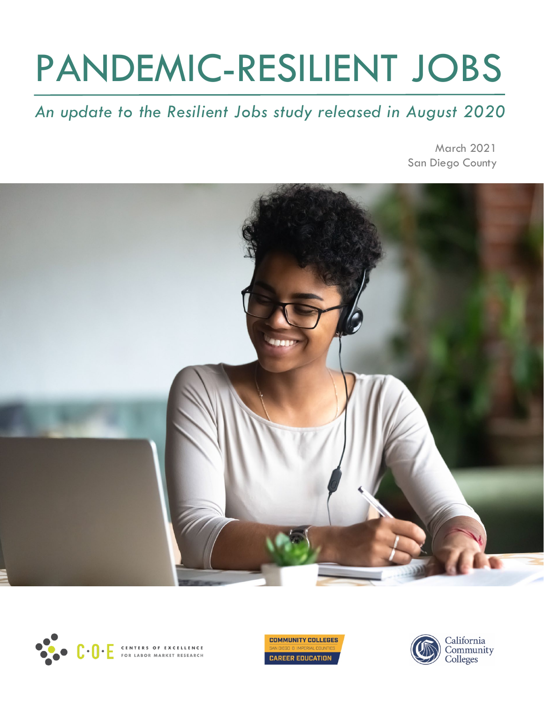# PANDEMIC-RESILIENT JOBS

## *An update to the Resilient Jobs study released in August 2020*

March 2021 San Diego County





**COMMUNITY COLLEGES CAREER EDUCATION** 

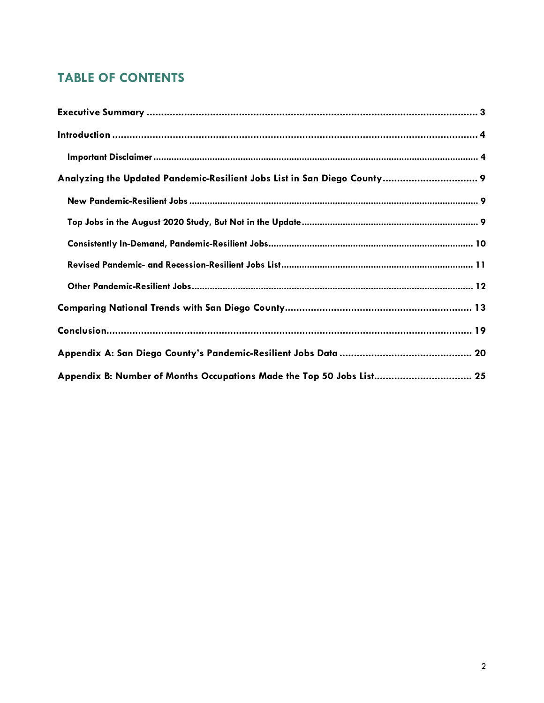## **TABLE OF CONTENTS**

| Analyzing the Updated Pandemic-Resilient Jobs List in San Diego County 9 |
|--------------------------------------------------------------------------|
|                                                                          |
|                                                                          |
|                                                                          |
|                                                                          |
|                                                                          |
|                                                                          |
|                                                                          |
|                                                                          |
| Appendix B: Number of Months Occupations Made the Top 50 Jobs List 25    |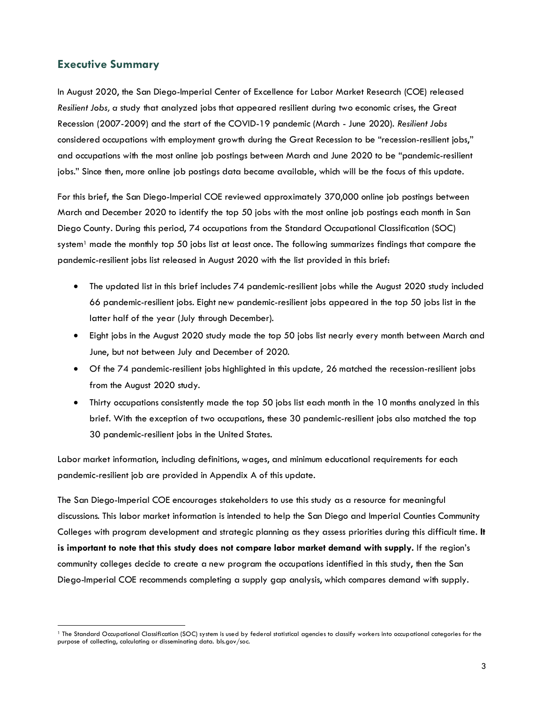#### <span id="page-2-0"></span>**Executive Summary**

In August 2020, the San Diego-Imperial Center of Excellence for Labor Market Research (COE) released *Resilient Jobs, a* study that analyzed jobs that appeared resilient during two economic crises, the Great Recession (2007-2009) and the start of the COVID-19 pandemic (March - June 2020). *Resilient Jobs* considered occupations with employment growth during the Great Recession to be "recession-resilient jobs," and occupations with the most online job postings between March and June 2020 to be "pandemic-resilient jobs." Since then, more online job postings data became available, which will be the focus of this update.

For this brief, the San Diego-Imperial COE reviewed approximately 370,000 online job postings between March and December 2020 to identify the top 50 jobs with the most online job postings each month in San Diego County. During this period, 74 occupations from the Standard Occupational Classification (SOC) system<sup>[1](#page-2-1)</sup> made the monthly top 50 jobs list at least once. The following summarizes findings that compare the pandemic-resilient jobs list released in August 2020 with the list provided in this brief:

- The updated list in this brief includes 74 pandemic-resilient jobs while the August 2020 study included 66 pandemic-resilient jobs. Eight new pandemic-resilient jobs appeared in the top 50 jobs list in the latter half of the year (July through December).
- Eight jobs in the August 2020 study made the top 50 jobs list nearly every month between March and June, but not between July and December of 2020.
- Of the 74 pandemic-resilient jobs highlighted in this update*,* 26 matched the recession-resilient jobs from the August 2020 study.
- Thirty occupations consistently made the top 50 jobs list each month in the 10 months analyzed in this brief. With the exception of two occupations, these 30 pandemic-resilient jobs also matched the top 30 pandemic-resilient jobs in the United States.

Labor market information, including definitions, wages, and minimum educational requirements for each pandemic-resilient job are provided in Appendix A of this update.

The San Diego-Imperial COE encourages stakeholders to use this study as a resource for meaningful discussions. This labor market information is intended to help the San Diego and Imperial Counties Community Colleges with program development and strategic planning as they assess priorities during this difficult time. **It is important to note that this study does not compare labor market demand with supply.** If the region's community colleges decide to create a new program the occupations identified in this study, then the San Diego-Imperial COE recommends completing a supply gap analysis, which compares demand with supply.

<span id="page-2-1"></span> <sup>1</sup> The Standard Occupational Classification (SOC) system is used by federal statistical agencies to classify workers into occupational categories for the purpose of collecting, calculating or disseminating data. bls.gov/soc.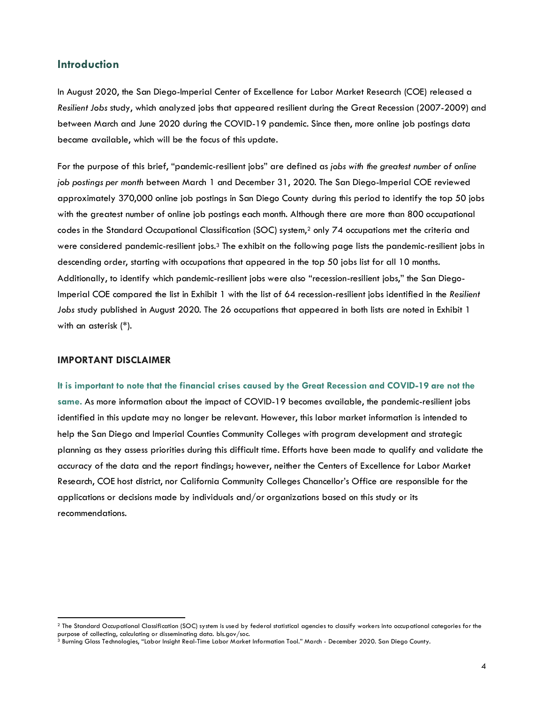#### <span id="page-3-0"></span>**Introduction**

In August 2020, the San Diego-Imperial Center of Excellence for Labor Market Research (COE) released a *Resilient Jobs* study, which analyzed jobs that appeared resilient during the Great Recession (2007-2009) and between March and June 2020 during the COVID-19 pandemic. Since then, more online job postings data became available, which will be the focus of this update.

For the purpose of this brief, "pandemic-resilient jobs" are defined as *jobs with the greatest number of online job postings per month* between March 1 and December 31, 2020. The San Diego-Imperial COE reviewed approximately 370,000 online job postings in San Diego County during this period to identify the top 50 jobs with the greatest number of online job postings each month. Although there are more than 800 occupational codes in the Standard Occupational Classification (SOC) system,<sup>[2](#page-3-2)</sup> only 74 occupations met the criteria and were considered pandemic-resilient jobs.<sup>3</sup> The exhibit on the following page lists the pandemic-resilient jobs in descending order, starting with occupations that appeared in the top 50 jobs list for all 10 months. Additionally, to identify which pandemic-resilient jobs were also "recession-resilient jobs," the San Diego-Imperial COE compared the list in Exhibit 1 with the list of 64 recession-resilient jobs identified in the *Resilient Jobs* study published in August 2020. The 26 occupations that appeared in both lists are noted in Exhibit 1 with an asterisk (\*).

#### <span id="page-3-1"></span>**IMPORTANT DISCLAIMER**

It is important to note that the financial crises caused by the Great Recession and COVID-19 are not the **same.** As more information about the impact of COVID-19 becomes available, the pandemic-resilient jobs identified in this update may no longer be relevant. However, this labor market information is intended to help the San Diego and Imperial Counties Community Colleges with program development and strategic planning as they assess priorities during this difficult time. Efforts have been made to qualify and validate the accuracy of the data and the report findings; however, neither the Centers of Excellence for Labor Market Research, COE host district, nor California Community Colleges Chancellor's Office are responsible for the applications or decisions made by individuals and/or organizations based on this study or its recommendations.

<span id="page-3-2"></span> <sup>2</sup> The Standard Occupational Classification (SOC) system is used by federal statistical agencies to classify workers into occupational categories for the purpose of collecting, calculating or disseminating data. bls.gov/soc.

<span id="page-3-3"></span><sup>3</sup> Burning Glass Technologies, "Labor Insight Real-Time Labor Market Information Tool." March - December 2020. San Diego County.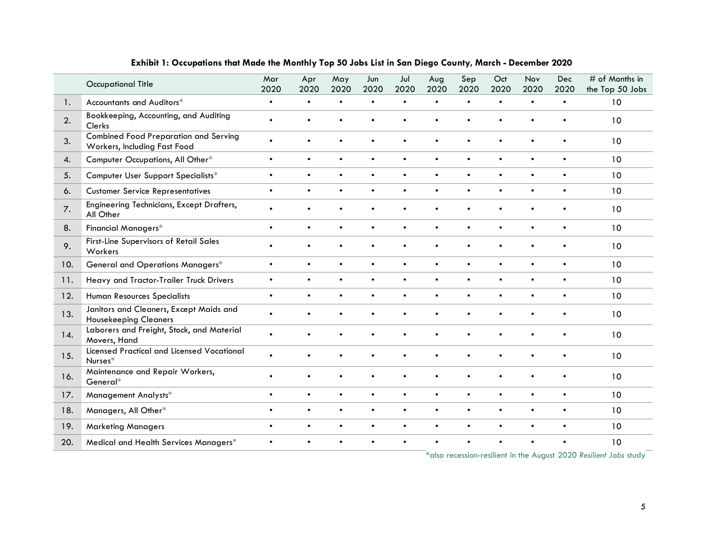|     | <b>Occupational Title</b>                                                    | Mar<br>2020 | Apr<br>2020 | May<br>2020 | Jun<br>2020 | Jul<br>2020 | Aug<br>2020 | Sep<br>2020 | Oct<br>2020 | Nov<br>2020 | Dec<br>2020 | # of Months in<br>the Top 50 Jobs                                          |
|-----|------------------------------------------------------------------------------|-------------|-------------|-------------|-------------|-------------|-------------|-------------|-------------|-------------|-------------|----------------------------------------------------------------------------|
| 1.  | Accountants and Auditors*                                                    | $\bullet$   | $\bullet$   | $\bullet$   | $\bullet$   | $\bullet$   | $\bullet$   | $\bullet$   | $\bullet$   | $\bullet$   | $\bullet$   | 10                                                                         |
| 2.  | Bookkeeping, Accounting, and Auditing<br>Clerks                              | $\bullet$   |             |             |             |             |             |             |             | $\bullet$   |             | 10                                                                         |
| 3.  | <b>Combined Food Preparation and Serving</b><br>Workers, Including Fast Food | $\bullet$   |             |             | $\bullet$   | $\bullet$   | $\bullet$   | $\bullet$   | $\bullet$   | $\bullet$   | $\bullet$   | 10                                                                         |
| 4.  | Computer Occupations, All Other*                                             | $\bullet$   | $\bullet$   | $\bullet$   | $\bullet$   | $\bullet$   | $\bullet$   | $\bullet$   | $\bullet$   | $\bullet$   | $\bullet$   | 10                                                                         |
| 5.  | Computer User Support Specialists*                                           | $\bullet$   | $\bullet$   | $\bullet$   | $\bullet$   | $\bullet$   | $\bullet$   | $\bullet$   | $\bullet$   | $\bullet$   | $\bullet$   | 10                                                                         |
| 6.  | <b>Customer Service Representatives</b>                                      | $\bullet$   | $\bullet$   | $\bullet$   | $\bullet$   | $\bullet$   | $\bullet$   | $\bullet$   | $\bullet$   | $\bullet$   | $\bullet$   | 10                                                                         |
| 7.  | Engineering Technicians, Except Drafters,<br>All Other                       | $\bullet$   |             |             |             |             | $\bullet$   | $\bullet$   | $\bullet$   | $\bullet$   | $\bullet$   | 10                                                                         |
| 8.  | <b>Financial Managers*</b>                                                   | $\bullet$   | $\bullet$   | $\bullet$   | $\bullet$   | $\bullet$   | $\bullet$   | $\bullet$   | $\bullet$   | $\bullet$   | $\bullet$   | 10                                                                         |
| 9.  | First-Line Supervisors of Retail Sales<br>Workers                            | $\bullet$   | $\bullet$   | $\bullet$   | $\bullet$   | $\bullet$   | $\bullet$   | $\bullet$   | $\bullet$   | $\bullet$   | $\bullet$   | 10                                                                         |
| 10. | General and Operations Managers*                                             | $\bullet$   | $\bullet$   | $\bullet$   | $\bullet$   | $\bullet$   | $\bullet$   | $\bullet$   | $\bullet$   | $\bullet$   | $\bullet$   | 10                                                                         |
| 11. | Heavy and Tractor-Trailer Truck Drivers                                      | $\bullet$   | $\bullet$   | $\bullet$   | $\bullet$   | $\bullet$   | $\bullet$   | $\bullet$   | $\bullet$   | $\bullet$   | $\bullet$   | 10                                                                         |
| 12. | Human Resources Specialists                                                  | $\bullet$   | $\bullet$   | ٠           | $\bullet$   | $\bullet$   | $\bullet$   | $\bullet$   | $\bullet$   | $\bullet$   | $\bullet$   | 10                                                                         |
| 13. | Janitors and Cleaners, Except Maids and<br><b>Housekeeping Cleaners</b>      | $\bullet$   | $\bullet$   | ٠           | $\bullet$   | $\bullet$   | $\bullet$   | $\bullet$   | $\bullet$   | $\bullet$   | $\bullet$   | 10                                                                         |
| 14. | Laborers and Freight, Stock, and Material<br>Movers, Hand                    | $\bullet$   |             |             |             |             | $\bullet$   |             |             |             |             | 10                                                                         |
| 15. | <b>Licensed Practical and Licensed Vocational</b><br>Nurses*                 | $\bullet$   |             |             |             |             | $\bullet$   | $\bullet$   |             |             |             | 10                                                                         |
| 16. | Maintenance and Repair Workers,<br>General*                                  | $\bullet$   |             |             |             |             |             |             |             |             |             | 10                                                                         |
| 17. | Management Analysts*                                                         | $\bullet$   | $\bullet$   | $\bullet$   | $\bullet$   | $\bullet$   | $\bullet$   | $\bullet$   | $\bullet$   | $\bullet$   | $\bullet$   | 10                                                                         |
| 18. | Managers, All Other*                                                         | $\bullet$   |             | $\bullet$   | $\bullet$   |             | $\bullet$   | $\bullet$   | $\bullet$   | $\bullet$   | $\bullet$   | 10                                                                         |
| 19. | <b>Marketing Managers</b>                                                    | $\bullet$   | $\bullet$   | $\bullet$   | $\bullet$   | $\bullet$   | $\bullet$   | $\bullet$   | $\bullet$   | $\bullet$   | $\bullet$   | 10                                                                         |
| 20. | Medical and Health Services Managers*                                        |             |             |             |             |             |             |             |             |             |             | 10<br>$*$ glso recession-resilient in the August 2020 Resilient Jobs study |

#### **Exhibit 1: Occupations that Made the Monthly Top 50 Jobs List in San Diego County, March - December 2020**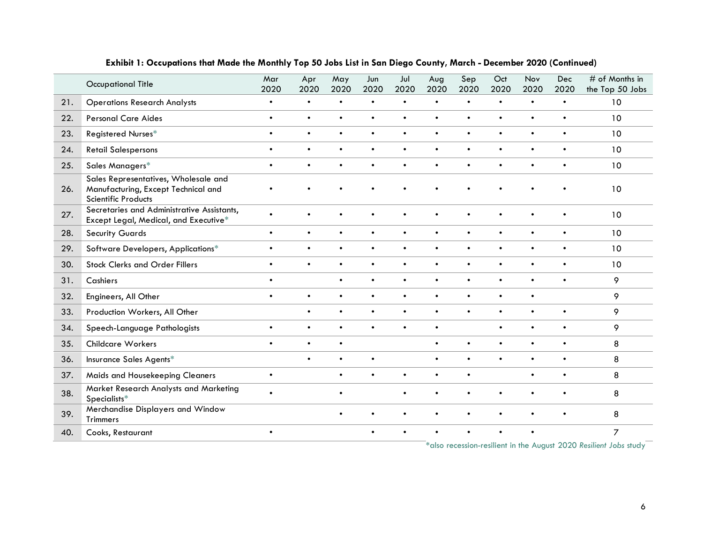|     | <b>Occupational Title</b>                                                                          | Mar<br>2020 | Apr<br>2020 | May<br>2020 | Jun<br>2020 | Jul<br>2020 | Aug<br>2020 | Sep<br>2020 | Oct<br>2020 | Nov<br>2020 | Dec<br>2020 | # of Months in<br>the Top 50 Jobs |
|-----|----------------------------------------------------------------------------------------------------|-------------|-------------|-------------|-------------|-------------|-------------|-------------|-------------|-------------|-------------|-----------------------------------|
| 21. | <b>Operations Research Analysts</b>                                                                | $\bullet$   | $\bullet$   | $\bullet$   | $\bullet$   | $\bullet$   | $\bullet$   | $\bullet$   | $\bullet$   | $\bullet$   | $\bullet$   | 10                                |
| 22. | <b>Personal Care Aides</b>                                                                         | $\bullet$   | $\bullet$   | $\bullet$   | $\bullet$   | $\bullet$   | $\bullet$   | $\bullet$   | $\bullet$   | $\bullet$   | $\bullet$   | 10                                |
| 23. | Registered Nurses*                                                                                 | $\bullet$   | $\bullet$   | $\bullet$   | $\bullet$   | $\bullet$   | $\bullet$   | $\bullet$   | $\bullet$   | $\bullet$   | $\bullet$   | 10                                |
| 24. | <b>Retail Salespersons</b>                                                                         | $\bullet$   | $\bullet$   | $\bullet$   | $\bullet$   | $\bullet$   | $\bullet$   | $\bullet$   | $\bullet$   | $\bullet$   | $\bullet$   | 10                                |
| 25. | Sales Managers*                                                                                    | $\bullet$   | $\bullet$   | $\bullet$   | $\bullet$   | $\bullet$   | $\bullet$   | $\bullet$   | $\bullet$   | $\bullet$   | $\bullet$   | 10                                |
| 26. | Sales Representatives, Wholesale and<br>Manufacturing, Except Technical and<br>Scientific Products |             |             |             |             |             |             |             |             |             |             | 10                                |
| 27. | Secretaries and Administrative Assistants,<br>Except Legal, Medical, and Executive*                | $\bullet$   | $\bullet$   | $\bullet$   |             | $\bullet$   | $\bullet$   | $\bullet$   | $\bullet$   | $\bullet$   | $\bullet$   | 10                                |
| 28. | <b>Security Guards</b>                                                                             | $\bullet$   | $\bullet$   | $\bullet$   | $\bullet$   | $\bullet$   | $\bullet$   | $\bullet$   | $\bullet$   | $\bullet$   | $\bullet$   | 10                                |
| 29. | Software Developers, Applications*                                                                 | $\bullet$   | $\bullet$   | $\bullet$   | $\bullet$   | $\bullet$   | $\bullet$   | $\bullet$   | $\bullet$   | $\bullet$   | $\bullet$   | 10                                |
| 30. | <b>Stock Clerks and Order Fillers</b>                                                              | $\bullet$   | $\bullet$   | $\bullet$   | $\bullet$   | $\bullet$   | $\bullet$   | $\bullet$   | $\bullet$   | $\bullet$   | $\bullet$   | 10                                |
| 31. | Cashiers                                                                                           | $\bullet$   |             | $\bullet$   | $\bullet$   | $\bullet$   | $\bullet$   | $\bullet$   | $\bullet$   | $\bullet$   | $\bullet$   | 9                                 |
| 32. | Engineers, All Other                                                                               | $\bullet$   | $\bullet$   | $\bullet$   | $\bullet$   | $\bullet$   | $\bullet$   | $\bullet$   | $\bullet$   | $\bullet$   |             | 9                                 |
| 33. | Production Workers, All Other                                                                      |             | $\bullet$   | $\bullet$   | $\bullet$   | $\bullet$   | $\bullet$   | $\bullet$   | $\bullet$   | $\bullet$   | $\bullet$   | 9                                 |
| 34. | Speech-Language Pathologists                                                                       | $\bullet$   | $\bullet$   | $\bullet$   | $\bullet$   | $\bullet$   | $\bullet$   |             | $\bullet$   | $\bullet$   | $\bullet$   | 9                                 |
| 35. | Childcare Workers                                                                                  | $\bullet$   | $\bullet$   | $\bullet$   |             |             | $\bullet$   | $\bullet$   | $\bullet$   | $\bullet$   | $\bullet$   | 8                                 |
| 36. | Insurance Sales Agents*                                                                            |             | $\bullet$   | $\bullet$   | $\bullet$   |             | $\bullet$   | $\bullet$   | $\bullet$   | $\bullet$   | $\bullet$   | 8                                 |
| 37. | Maids and Housekeeping Cleaners                                                                    | $\bullet$   |             | $\bullet$   | $\bullet$   | $\bullet$   | $\bullet$   | $\bullet$   |             | $\bullet$   | $\bullet$   | 8                                 |
| 38. | Market Research Analysts and Marketing<br>Specialists*                                             | $\bullet$   |             | $\bullet$   |             | $\bullet$   | $\bullet$   |             |             | $\bullet$   | $\bullet$   | 8                                 |
| 39. | Merchandise Displayers and Window<br>Trimmers                                                      |             |             |             |             |             |             |             |             |             |             | 8                                 |
| 40. | Cooks, Restaurant                                                                                  | $\bullet$   |             |             | $\bullet$   |             | $\bullet$   | $\bullet$   | $\bullet$   | $\bullet$   |             | $\overline{7}$                    |

#### **Exhibit 1: Occupations that Made the Monthly Top 50 Jobs List in San Diego County, March - December 2020 (Continued)**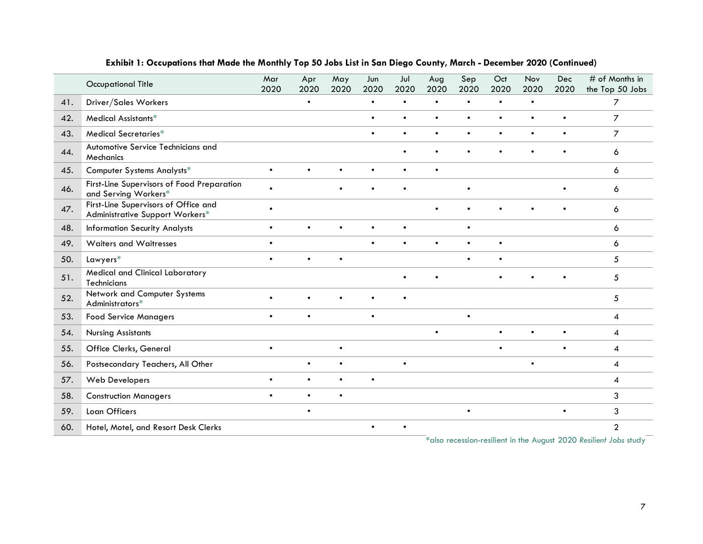|     | <b>Occupational Title</b>                                               | Mar<br>2020 | Apr<br>2020 | May<br>2020 | Jun<br>2020 | Jul<br>2020 | Aug<br>2020 | Sep<br>2020 | Oct<br>2020 | Nov<br>2020 | Dec<br>2020 | # of Months in<br>the Top 50 Jobs |
|-----|-------------------------------------------------------------------------|-------------|-------------|-------------|-------------|-------------|-------------|-------------|-------------|-------------|-------------|-----------------------------------|
| 41. | Driver/Sales Workers                                                    |             | $\bullet$   |             | $\bullet$   | $\bullet$   | $\bullet$   | $\bullet$   | $\bullet$   | $\bullet$   |             | $\overline{7}$                    |
| 42. | Medical Assistants*                                                     |             |             |             | $\bullet$   | $\bullet$   | $\bullet$   | $\bullet$   | $\bullet$   | $\bullet$   | $\bullet$   | $\overline{7}$                    |
| 43. | Medical Secretaries*                                                    |             |             |             | $\bullet$   | $\bullet$   | $\bullet$   | $\bullet$   | $\bullet$   | $\bullet$   | $\bullet$   | $\overline{7}$                    |
| 44. | Automotive Service Technicians and<br>Mechanics                         |             |             |             |             |             |             |             |             |             |             | 6                                 |
| 45. | Computer Systems Analysts*                                              | $\bullet$   | $\bullet$   | $\bullet$   | $\bullet$   | $\bullet$   | $\bullet$   |             |             |             |             | 6                                 |
| 46. | First-Line Supervisors of Food Preparation<br>and Serving Workers*      | $\bullet$   |             |             |             |             |             | $\bullet$   |             |             |             | 6                                 |
| 47. | First-Line Supervisors of Office and<br>Administrative Support Workers* | $\bullet$   |             |             |             |             | $\bullet$   |             |             |             |             | 6                                 |
| 48. | <b>Information Security Analysts</b>                                    | $\bullet$   |             | $\bullet$   | $\bullet$   | $\bullet$   |             | $\bullet$   |             |             |             | 6                                 |
| 49. | Waiters and Waitresses                                                  | $\bullet$   |             |             | $\bullet$   | $\bullet$   | $\bullet$   | $\bullet$   | $\bullet$   |             |             | 6                                 |
| 50. | Lawyers*                                                                | $\bullet$   | $\bullet$   | $\bullet$   |             |             |             | $\bullet$   | $\bullet$   |             |             | 5                                 |
| 51. | Medical and Clinical Laboratory<br>Technicians                          |             |             |             |             | $\bullet$   |             |             |             |             |             | 5                                 |
| 52. | Network and Computer Systems<br>Administrators*                         |             |             |             |             |             |             |             |             |             |             | 5                                 |
| 53. | <b>Food Service Managers</b>                                            | $\bullet$   | $\bullet$   |             | $\bullet$   |             |             | $\bullet$   |             |             |             | 4                                 |
| 54. | <b>Nursing Assistants</b>                                               |             |             |             |             |             | $\bullet$   |             | $\bullet$   | $\bullet$   | $\bullet$   | 4                                 |
| 55. | Office Clerks, General                                                  | $\bullet$   |             | $\bullet$   |             |             |             |             | $\bullet$   |             | $\bullet$   | 4                                 |
| 56. | Postsecondary Teachers, All Other                                       |             | $\bullet$   | $\bullet$   |             |             |             |             |             | $\bullet$   |             | 4                                 |
| 57. | Web Developers                                                          | $\bullet$   | $\bullet$   | $\bullet$   | $\bullet$   |             |             |             |             |             |             | 4                                 |
| 58. | <b>Construction Managers</b>                                            | $\bullet$   |             | $\bullet$   |             |             |             |             |             |             |             | 3                                 |
| 59. | Loan Officers                                                           |             | $\bullet$   |             |             |             |             |             |             |             | $\bullet$   | 3                                 |
| 60. | Hotel, Motel, and Resort Desk Clerks                                    |             |             |             | $\bullet$   |             |             |             |             |             | 00000       | 2                                 |

#### **Exhibit 1: Occupations that Made the Monthly Top 50 Jobs List in San Diego County, March - December 2020 (Continued)**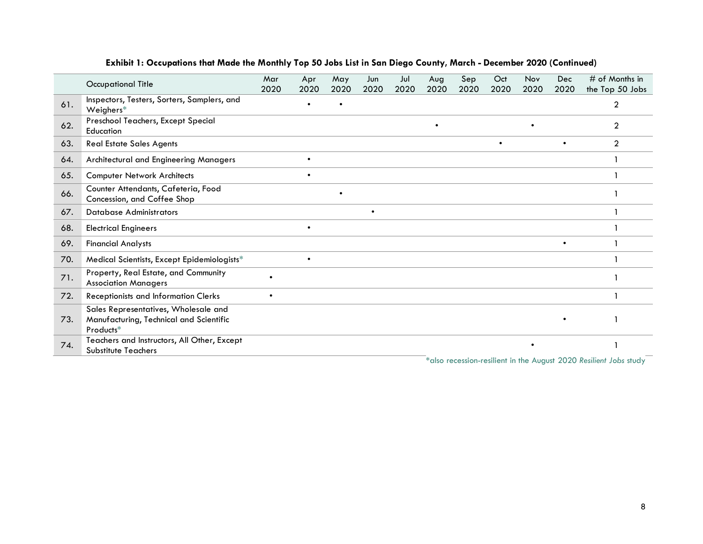|     | Occupational Title                                                                           | Mar<br>2020 | Apr<br>2020 | May<br>2020 | Jun<br>2020 | Jul<br>2020 | Aug<br>2020 | Sep<br>2020 | Oct<br>2020 | Nov<br>2020 | Dec<br>2020 | $\#$ of Months in<br>the Top 50 Jobs |
|-----|----------------------------------------------------------------------------------------------|-------------|-------------|-------------|-------------|-------------|-------------|-------------|-------------|-------------|-------------|--------------------------------------|
| 61. | Inspectors, Testers, Sorters, Samplers, and<br>Weighers $*$                                  |             |             |             |             |             |             |             |             |             |             | 2                                    |
| 62. | Preschool Teachers, Except Special<br>Education                                              |             |             |             |             |             | $\bullet$   |             |             |             |             | 2                                    |
| 63. | <b>Real Estate Sales Agents</b>                                                              |             |             |             |             |             |             |             | $\bullet$   |             | $\bullet$   | $\overline{2}$                       |
| 64. | Architectural and Engineering Managers                                                       |             |             |             |             |             |             |             |             |             |             |                                      |
| 65. | <b>Computer Network Architects</b>                                                           |             |             |             |             |             |             |             |             |             |             |                                      |
| 66. | Counter Attendants, Cafeteria, Food<br>Concession, and Coffee Shop                           |             |             | $\bullet$   |             |             |             |             |             |             |             |                                      |
| 67. | <b>Database Administrators</b>                                                               |             |             |             | $\bullet$   |             |             |             |             |             |             |                                      |
| 68. | <b>Electrical Engineers</b>                                                                  |             |             |             |             |             |             |             |             |             |             |                                      |
| 69. | <b>Financial Analysts</b>                                                                    |             |             |             |             |             |             |             |             |             |             |                                      |
| 70. | Medical Scientists, Except Epidemiologists*                                                  |             |             |             |             |             |             |             |             |             |             |                                      |
| 71. | Property, Real Estate, and Community<br><b>Association Managers</b>                          |             |             |             |             |             |             |             |             |             |             |                                      |
| 72. | Receptionists and Information Clerks                                                         | $\bullet$   |             |             |             |             |             |             |             |             |             |                                      |
| 73. | Sales Representatives, Wholesale and<br>Manufacturing, Technical and Scientific<br>Products* |             |             |             |             |             |             |             |             |             |             |                                      |
| 74. | Teachers and Instructors, All Other, Except<br><b>Substitute Teachers</b>                    |             |             |             |             |             |             |             |             |             |             |                                      |

#### **Exhibit 1: Occupations that Made the Monthly Top 50 Jobs List in San Diego County, March - December 2020 (Continued)**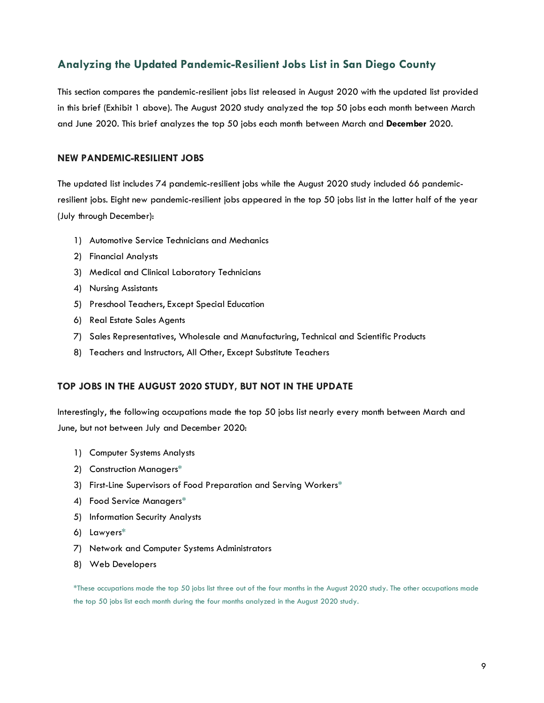## <span id="page-8-0"></span>**Analyzing the Updated Pandemic-Resilient Jobs List in San Diego County**

This section compares the pandemic-resilient jobs list released in August 2020 with the updated list provided in this brief (Exhibit 1 above). The August 2020 study analyzed the top 50 jobs each month between March and June 2020. This brief analyzes the top 50 jobs each month between March and **December** 2020.

#### <span id="page-8-1"></span>**NEW PANDEMIC-RESILIENT JOBS**

The updated list includes 74 pandemic-resilient jobs while the August 2020 study included 66 pandemicresilient jobs. Eight new pandemic-resilient jobs appeared in the top 50 jobs list in the latter half of the year (July through December):

- 1) Automotive Service Technicians and Mechanics
- 2) Financial Analysts
- 3) Medical and Clinical Laboratory Technicians
- 4) Nursing Assistants
- 5) Preschool Teachers, Except Special Education
- 6) Real Estate Sales Agents
- 7) Sales Representatives, Wholesale and Manufacturing, Technical and Scientific Products
- 8) Teachers and Instructors, All Other, Except Substitute Teachers

#### <span id="page-8-2"></span>**TOP JOBS IN THE AUGUST 2020 STUDY, BUT NOT IN THE UPDATE**

Interestingly, the following occupations made the top 50 jobs list nearly every month between March and June, but not between July and December 2020:

- 1) Computer Systems Analysts
- 2) Construction Managers\*
- 3) First-Line Supervisors of Food Preparation and Serving Workers\*
- 4) Food Service Managers\*
- 5) Information Security Analysts
- 6) Lawyers\*
- 7) Network and Computer Systems Administrators
- 8) Web Developers

\*These occupations made the top 50 jobs list three out of the four months in the August 2020 study. The other occupations made the top 50 jobs list each month during the four months analyzed in the August 2020 study.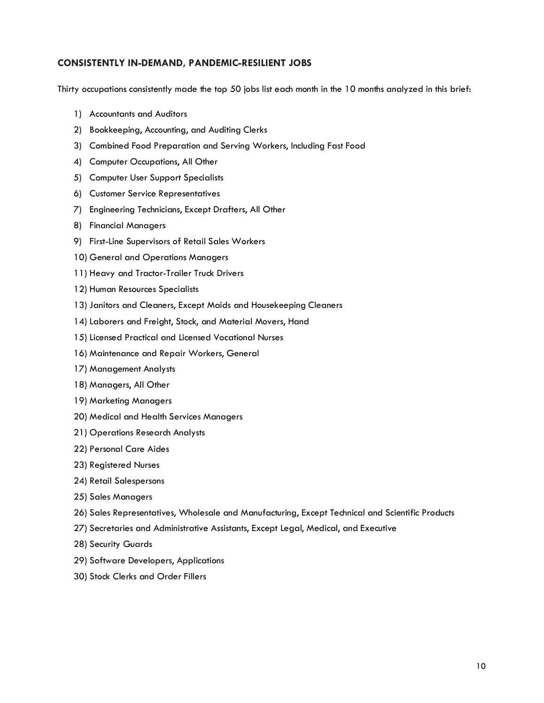#### <span id="page-9-0"></span>**CONSISTENTLY IN-DEMAND, PANDEMIC-RESILIENT JOBS**

Thirty occupations consistently made the top 50 jobs list each month in the 10 months analyzed in this brief:

- 1) Accountants and Auditors
- 2) Bookkeeping, Accounting, and Auditing Clerks
- 3) Combined Food Preparation and Serving Workers, Including Fast Food
- 4) Computer Occupations, All Other
- 5) Computer User Support Specialists
- 6) Customer Service Representatives
- 7) Engineering Technicians, Except Drafters, All Other
- 8) Financial Managers
- 9) First-Line Supervisors of Retail Sales Workers
- 10) General and Operations Managers
- 11) Heavy and Tractor-Trailer Truck Drivers
- 12) Human Resources Specialists
- 13) Janitors and Cleaners, Except Maids and Housekeeping Cleaners
- 14) Laborers and Freight, Stock, and Material Movers, Hand
- 15) Licensed Practical and Licensed Vocational Nurses
- 16) Maintenance and Repair Workers, General
- 17) Management Analysts
- 18) Managers, All Other
- 19) Marketing Managers
- 20) Medical and Health Services Managers
- 21) Operations Research Analysts
- 22) Personal Care Aides
- 23) Registered Nurses
- 24) Retail Salespersons
- 25) Sales Managers
- 26) Sales Representatives, Wholesale and Manufacturing, Except Technical and Scientific Products
- 27) Secretaries and Administrative Assistants, Except Legal, Medical, and Executive
- 28) Security Guards
- 29) Software Developers, Applications
- 30) Stock Clerks and Order Fillers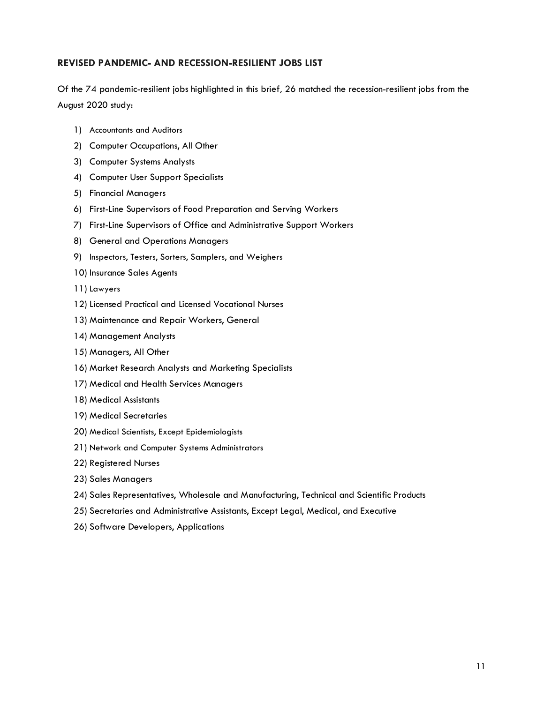#### <span id="page-10-0"></span>**REVISED PANDEMIC- AND RECESSION-RESILIENT JOBS LIST**

Of the 74 pandemic-resilient jobs highlighted in this brief*,* 26 matched the recession-resilient jobs from the August 2020 study:

- 1) Accountants and Auditors
- 2) Computer Occupations, All Other
- 3) Computer Systems Analysts
- 4) Computer User Support Specialists
- 5) Financial Managers
- 6) First-Line Supervisors of Food Preparation and Serving Workers
- 7) First-Line Supervisors of Office and Administrative Support Workers
- 8) General and Operations Managers
- 9) Inspectors, Testers, Sorters, Samplers, and Weighers
- 10) Insurance Sales Agents
- 11) Lawyers
- 12) Licensed Practical and Licensed Vocational Nurses
- 13) Maintenance and Repair Workers, General
- 14) Management Analysts
- 15) Managers, All Other
- 16) Market Research Analysts and Marketing Specialists
- 17) Medical and Health Services Managers
- 18) Medical Assistants
- 19) Medical Secretaries
- 20) Medical Scientists, Except Epidemiologists
- 21) Network and Computer Systems Administrators
- 22) Registered Nurses
- 23) Sales Managers
- 24) Sales Representatives, Wholesale and Manufacturing, Technical and Scientific Products
- 25) Secretaries and Administrative Assistants, Except Legal, Medical, and Executive
- 26) Software Developers, Applications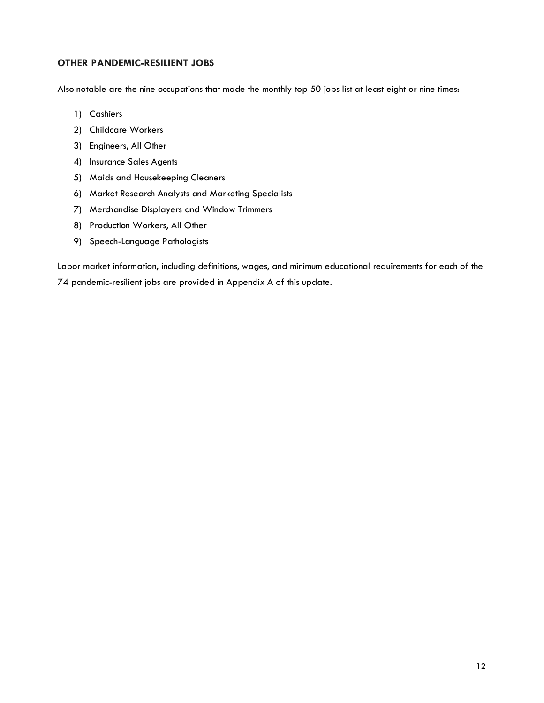#### <span id="page-11-0"></span>**OTHER PANDEMIC-RESILIENT JOBS**

Also notable are the nine occupations that made the monthly top 50 jobs list at least eight or nine times:

- 1) Cashiers
- 2) Childcare Workers
- 3) Engineers, All Other
- 4) Insurance Sales Agents
- 5) Maids and Housekeeping Cleaners
- 6) Market Research Analysts and Marketing Specialists
- 7) Merchandise Displayers and Window Trimmers
- 8) Production Workers, All Other
- 9) Speech-Language Pathologists

Labor market information, including definitions, wages, and minimum educational requirements for each of the 74 pandemic-resilient jobs are provided in Appendix A of this update.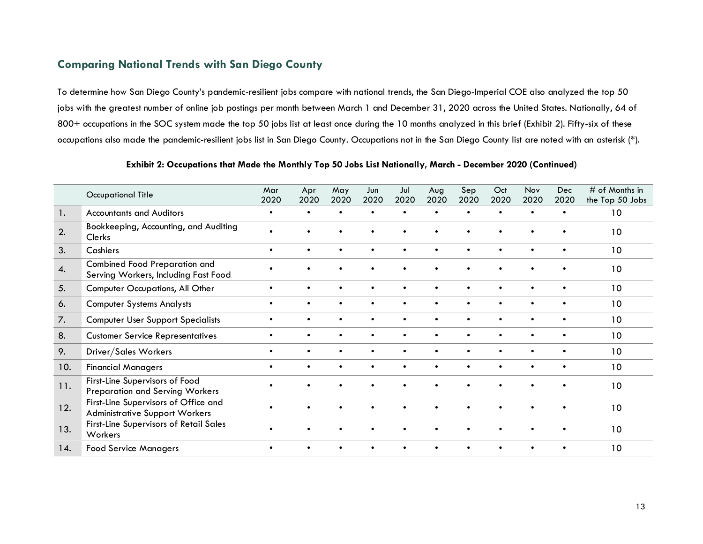## **Comparing National Trends with San Diego County**

To determine how San Diego County's pandemic-resilient jobs compare with national trends, the San Diego-Imperial COE also analyzed the top 50 jobs with the greatest number of online job postings per month between March 1 and December 31, 2020 across the United States. Nationally, 64 of 800+ occupations in the SOC system made the top 50 jobs list at least once during the 10 months analyzed in this brief (Exhibit 2). Fifty-six of these occupations also made the pandemic-resilient jobs list in San Diego County. Occupations not in the San Diego County list are noted with an asterisk (\*).

<span id="page-12-0"></span>

|     | <b>Occupational Title</b>                                                     | Mar<br>2020 | Apr<br>2020 | May<br>2020 | Jun<br>2020 | Jul<br>2020 | Aug<br>2020 | Sep<br>2020 | Oct<br>2020 | Nov<br>2020 | Dec<br>2020 | $#$ of Months in<br>the Top 50 Jobs |
|-----|-------------------------------------------------------------------------------|-------------|-------------|-------------|-------------|-------------|-------------|-------------|-------------|-------------|-------------|-------------------------------------|
| 1.  | <b>Accountants and Auditors</b>                                               | $\bullet$   |             |             |             |             |             |             | $\bullet$   |             | $\bullet$   | 10                                  |
| 2.  | Bookkeeping, Accounting, and Auditing<br>Clerks                               | $\bullet$   |             |             |             |             |             |             |             |             |             | 10                                  |
| 3.  | Cashiers                                                                      | $\bullet$   | $\bullet$   | $\bullet$   | $\bullet$   | $\bullet$   | $\bullet$   | $\bullet$   | $\bullet$   | $\bullet$   | $\bullet$   | 10                                  |
| 4.  | Combined Food Preparation and<br>Serving Workers, Including Fast Food         |             |             |             |             |             |             |             |             |             |             | 10                                  |
| 5.  | Computer Occupations, All Other                                               | $\bullet$   | $\bullet$   | $\bullet$   | $\bullet$   | $\bullet$   | $\bullet$   | $\bullet$   | $\bullet$   | $\bullet$   | $\bullet$   | 10                                  |
| 6.  | <b>Computer Systems Analysts</b>                                              |             |             |             |             |             |             |             |             | $\bullet$   | $\bullet$   | 10                                  |
| 7.  | <b>Computer User Support Specialists</b>                                      | $\bullet$   |             | $\bullet$   | $\bullet$   | $\bullet$   | $\bullet$   | $\bullet$   | $\bullet$   | $\bullet$   | $\bullet$   | 10                                  |
| 8.  | <b>Customer Service Representatives</b>                                       | $\bullet$   |             | $\bullet$   |             | $\bullet$   | $\bullet$   | $\bullet$   | $\bullet$   | $\bullet$   | $\bullet$   | 10                                  |
| 9.  | Driver/Sales Workers                                                          | $\bullet$   |             |             |             |             |             |             | $\bullet$   | $\bullet$   | $\bullet$   | 10                                  |
| 10. | <b>Financial Managers</b>                                                     | $\bullet$   | $\bullet$   | $\bullet$   | $\bullet$   | $\bullet$   | $\bullet$   | $\bullet$   | $\bullet$   | $\bullet$   | $\bullet$   | 10                                  |
| 11. | First-Line Supervisors of Food<br><b>Preparation and Serving Workers</b>      |             |             |             |             |             |             |             |             |             |             | 10                                  |
| 12. | First-Line Supervisors of Office and<br><b>Administrative Support Workers</b> |             |             |             |             |             |             |             |             |             |             | 10                                  |
| 13. | <b>First-Line Supervisors of Retail Sales</b><br>Workers                      |             |             |             |             |             |             |             |             |             |             | 10                                  |
| 14. | <b>Food Service Managers</b>                                                  |             |             |             |             |             |             |             |             |             |             | 10                                  |

**Exhibit 2: Occupations that Made the Monthly Top 50 Jobs List Nationally, March - December 2020 (Continued)**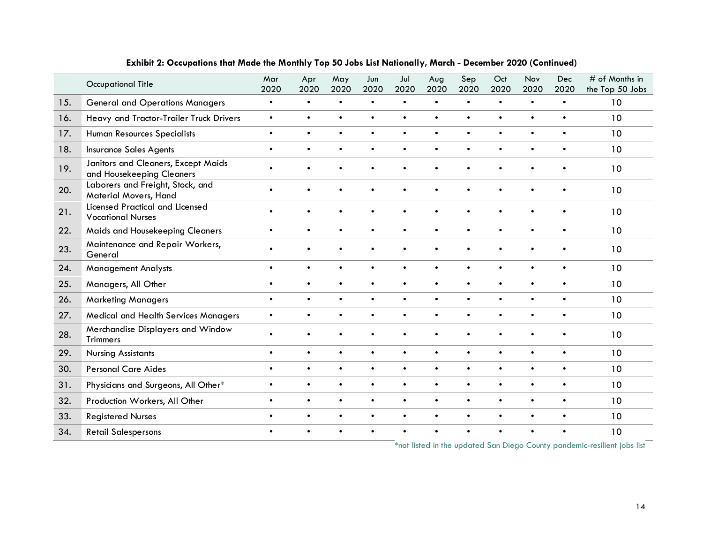|     | <b>Occupational Title</b>                                        | Mar<br>2020 | Apr<br>2020 | May<br>2020 | Jun<br>2020 | Jul<br>2020 | Aug<br>2020 | Sep<br>2020 | Oct<br>2020 | Nov<br>2020 | Dec<br>2020 | # of Months in<br>the Top 50 Jobs |
|-----|------------------------------------------------------------------|-------------|-------------|-------------|-------------|-------------|-------------|-------------|-------------|-------------|-------------|-----------------------------------|
| 15. | <b>General and Operations Managers</b>                           | $\bullet$   | $\bullet$   | $\bullet$   | $\bullet$   | $\bullet$   | $\bullet$   | $\bullet$   | $\bullet$   | $\bullet$   | $\bullet$   | 10                                |
| 16. | Heavy and Tractor-Trailer Truck Drivers                          | $\bullet$   | $\bullet$   | $\bullet$   | $\bullet$   | $\bullet$   | $\bullet$   | $\bullet$   | $\bullet$   | $\bullet$   | $\bullet$   | 10                                |
| 17. | Human Resources Specialists                                      | $\bullet$   | $\bullet$   | $\bullet$   | $\bullet$   | $\bullet$   | $\bullet$   | $\bullet$   | $\bullet$   | $\bullet$   | $\bullet$   | 10                                |
| 18. | <b>Insurance Sales Agents</b>                                    | $\bullet$   | $\bullet$   | $\bullet$   | $\bullet$   | $\bullet$   | $\bullet$   | $\bullet$   | $\bullet$   | $\bullet$   | $\bullet$   | 10                                |
| 19. | Janitors and Cleaners, Except Maids<br>and Housekeeping Cleaners | $\bullet$   | $\bullet$   | $\bullet$   | $\bullet$   | $\bullet$   | $\bullet$   | $\bullet$   | $\bullet$   | $\bullet$   | $\bullet$   | 10                                |
| 20. | Laborers and Freight, Stock, and<br>Material Movers, Hand        |             |             |             |             |             |             |             |             | $\bullet$   | $\bullet$   | 10                                |
| 21. | Licensed Practical and Licensed<br><b>Vocational Nurses</b>      |             |             |             |             |             |             |             |             |             |             | 10                                |
| 22. | Maids and Housekeeping Cleaners                                  | $\bullet$   | $\bullet$   | $\bullet$   | $\bullet$   | $\bullet$   | $\bullet$   | $\bullet$   | $\bullet$   | $\bullet$   | $\bullet$   | 10                                |
| 23. | Maintenance and Repair Workers,<br>General                       |             |             |             |             |             |             |             |             | $\bullet$   | $\bullet$   | 10                                |
| 24. | <b>Management Analysts</b>                                       | $\bullet$   | $\bullet$   | $\bullet$   | $\bullet$   | $\bullet$   | $\bullet$   | $\bullet$   | $\bullet$   | $\bullet$   | $\bullet$   | 10                                |
| 25. | Managers, All Other                                              | $\bullet$   | $\bullet$   | $\bullet$   | $\bullet$   | $\bullet$   | $\bullet$   | $\bullet$   | $\bullet$   | $\bullet$   | $\bullet$   | 10                                |
| 26. | <b>Marketing Managers</b>                                        | $\bullet$   | $\bullet$   | $\bullet$   | $\bullet$   | $\bullet$   | $\bullet$   | $\bullet$   | $\bullet$   | $\bullet$   | $\bullet$   | 10                                |
| 27. | Medical and Health Services Managers                             | $\bullet$   | $\bullet$   | $\bullet$   | $\bullet$   | $\bullet$   | $\bullet$   | $\bullet$   | $\bullet$   | $\bullet$   | $\bullet$   | 10                                |
| 28. | Merchandise Displayers and Window<br><b>Trimmers</b>             | $\bullet$   |             |             |             |             |             |             | $\bullet$   | $\bullet$   | $\bullet$   | 10                                |
| 29. | <b>Nursing Assistants</b>                                        | $\bullet$   | $\bullet$   | $\bullet$   | $\bullet$   | $\bullet$   | $\bullet$   | $\bullet$   | $\bullet$   | $\bullet$   | $\bullet$   | 10                                |
| 30. | <b>Personal Care Aides</b>                                       | $\bullet$   | $\bullet$   | $\bullet$   | $\bullet$   | $\bullet$   | $\bullet$   | $\bullet$   | $\bullet$   | $\bullet$   | $\bullet$   | 10                                |
| 31. | Physicians and Surgeons, All Other*                              | $\bullet$   | $\bullet$   | $\bullet$   | $\bullet$   | $\bullet$   | $\bullet$   | $\bullet$   | $\bullet$   | $\bullet$   | $\bullet$   | 10                                |
| 32. | Production Workers, All Other                                    | $\bullet$   | $\bullet$   | $\bullet$   | $\bullet$   | $\bullet$   | $\bullet$   | $\bullet$   | $\bullet$   | $\bullet$   | $\bullet$   | 10                                |
| 33. | <b>Registered Nurses</b>                                         | $\bullet$   | $\bullet$   | $\bullet$   | $\bullet$   | $\bullet$   | $\bullet$   | $\bullet$   | $\bullet$   | $\bullet$   | $\bullet$   | 10                                |
| 34. | <b>Retail Salespersons</b>                                       | $\bullet$   | $\bullet$   | $\bullet$   | $\bullet$   | $\bullet$   | $\bullet$   | $\bullet$   | $\bullet$   | $\bullet$   | $\bullet$   | 10                                |

#### **Exhibit 2: Occupations that Made the Monthly Top 50 Jobs List Nationally, March - December 2020 (Continued)**

**\***not listed in the updated San Diego County pandemic-resilient jobs list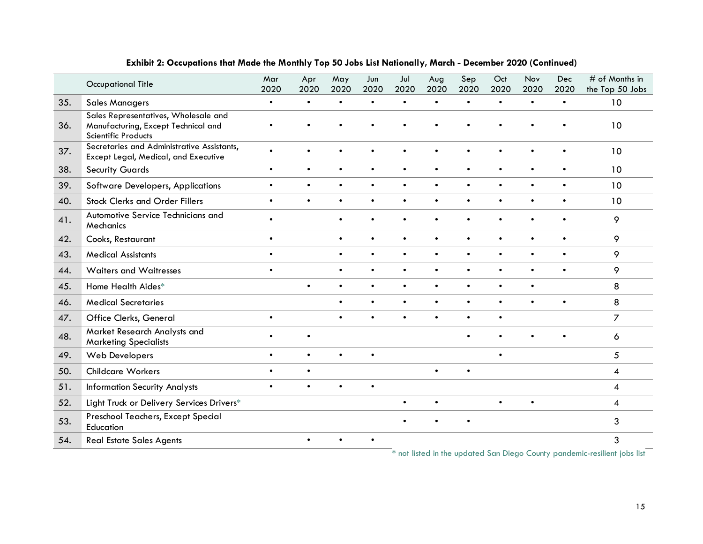|     | <b>Occupational Title</b>                                                                                 | Mar<br>2020 | Apr<br>2020 | May<br>2020 | Jun<br>2020 | Jul<br>2020                            | Aug<br>2020 | Sep<br>2020 | Oct<br>2020 | Nov<br>2020 | <b>Dec</b><br>2020 | # of Months in<br>the Top 50 Jobs                 |
|-----|-----------------------------------------------------------------------------------------------------------|-------------|-------------|-------------|-------------|----------------------------------------|-------------|-------------|-------------|-------------|--------------------|---------------------------------------------------|
| 35. | <b>Sales Managers</b>                                                                                     | $\bullet$   | $\bullet$   | $\bullet$   | $\bullet$   | $\bullet$                              | $\bullet$   | $\bullet$   | $\bullet$   | $\bullet$   | $\bullet$          | 10                                                |
| 36. | Sales Representatives, Wholesale and<br>Manufacturing, Except Technical and<br><b>Scientific Products</b> |             |             |             |             |                                        |             |             |             |             |                    | 10                                                |
| 37. | Secretaries and Administrative Assistants,<br>Except Legal, Medical, and Executive                        | $\bullet$   |             |             |             |                                        |             |             |             |             | $\bullet$          | 10                                                |
| 38. | <b>Security Guards</b>                                                                                    | $\bullet$   | $\bullet$   | $\bullet$   | $\bullet$   | $\bullet$                              | $\bullet$   | $\bullet$   | $\bullet$   | $\bullet$   | $\bullet$          | 10                                                |
| 39. | Software Developers, Applications                                                                         | $\bullet$   | $\bullet$   | $\bullet$   | $\bullet$   | $\bullet$                              | $\bullet$   | $\bullet$   | $\bullet$   | $\bullet$   | $\bullet$          | 10                                                |
| 40. | <b>Stock Clerks and Order Fillers</b>                                                                     | $\bullet$   | $\bullet$   | $\bullet$   | $\bullet$   | $\bullet$                              | $\bullet$   | $\bullet$   | $\bullet$   | $\bullet$   | $\bullet$          | 10                                                |
| 41. | Automotive Service Technicians and<br>Mechanics                                                           | $\bullet$   |             | $\bullet$   | $\bullet$   | $\bullet$                              | $\bullet$   | $\bullet$   | $\bullet$   | $\bullet$   | $\bullet$          | 9                                                 |
| 42. | Cooks, Restaurant                                                                                         | $\bullet$   |             | $\bullet$   | $\bullet$   | $\bullet$                              | $\bullet$   | $\bullet$   | $\bullet$   | $\bullet$   | $\bullet$          | 9                                                 |
| 43. | <b>Medical Assistants</b>                                                                                 | $\bullet$   |             | $\bullet$   | $\bullet$   | $\bullet$                              | $\bullet$   | $\bullet$   | $\bullet$   | $\bullet$   | $\bullet$          | 9                                                 |
| 44. | <b>Waiters and Waitresses</b>                                                                             | $\bullet$   |             | $\bullet$   | $\bullet$   | $\bullet$                              | $\bullet$   | $\bullet$   | $\bullet$   | $\bullet$   | $\bullet$          | 9                                                 |
| 45. | Home Health Aides*                                                                                        |             | $\bullet$   |             | $\bullet$   | $\bullet$                              | $\bullet$   | $\bullet$   | $\bullet$   | $\bullet$   |                    | 8                                                 |
| 46. | <b>Medical Secretaries</b>                                                                                |             |             | $\bullet$   | $\bullet$   | $\bullet$                              | $\bullet$   | $\bullet$   | $\bullet$   | $\bullet$   | $\bullet$          | 8                                                 |
| 47. | Office Clerks, General                                                                                    | $\bullet$   |             | $\bullet$   | $\bullet$   | $\bullet$                              | $\bullet$   | $\bullet$   | $\bullet$   |             |                    | $\overline{7}$                                    |
| 48. | Market Research Analysts and<br><b>Marketing Specialists</b>                                              | $\bullet$   | $\bullet$   |             |             |                                        |             | $\bullet$   |             |             | $\bullet$          | 6                                                 |
| 49. | Web Developers                                                                                            | $\bullet$   | $\bullet$   | $\bullet$   | $\bullet$   |                                        |             |             | $\bullet$   |             |                    | 5                                                 |
| 50. | <b>Childcare Workers</b>                                                                                  | $\bullet$   | $\bullet$   |             |             |                                        | $\bullet$   | $\bullet$   |             |             |                    | 4                                                 |
| 51. | <b>Information Security Analysts</b>                                                                      | $\bullet$   |             |             |             |                                        |             |             |             |             |                    | 4                                                 |
| 52. | Light Truck or Delivery Services Drivers*                                                                 |             |             |             |             | $\bullet$                              | $\bullet$   |             | $\bullet$   | $\bullet$   |                    | 4                                                 |
| 53. | Preschool Teachers, Except Special<br>Education                                                           |             |             |             |             |                                        |             | $\bullet$   |             |             |                    | 3                                                 |
| 54. | <b>Real Estate Sales Agents</b>                                                                           |             | $\bullet$   |             | $\bullet$   | ski državnih branja i državnih prijedn |             |             |             |             |                    | 3<br>والمراد القمامية الأفرانية والمتأمل والمستند |

#### **Exhibit 2: Occupations that Made the Monthly Top 50 Jobs List Nationally, March - December 2020 (Continued)**

**\*** not listed in the updated San Diego County pandemic-resilient jobs list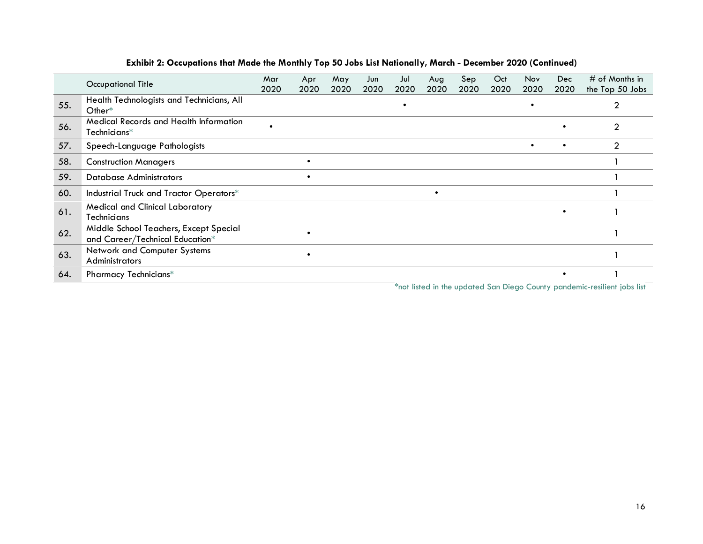|     | Occupational Title                                                        | Mar<br>2020 | Apr<br>2020 | May<br>2020 | Jun<br>2020 | Jul<br>2020 | Aug<br>2020 | Sep<br>2020 | Oct<br>2020                                                                                                                                                                                                                    | <b>Nov</b><br>2020 | Dec.<br>2020 | $#$ of Months in<br>the Top 50 Jobs         |
|-----|---------------------------------------------------------------------------|-------------|-------------|-------------|-------------|-------------|-------------|-------------|--------------------------------------------------------------------------------------------------------------------------------------------------------------------------------------------------------------------------------|--------------------|--------------|---------------------------------------------|
| 55. | Health Technologists and Technicians, All<br>Other $*$                    |             |             |             |             |             |             |             |                                                                                                                                                                                                                                | $\bullet$          |              | 2                                           |
| 56. | <b>Medical Records and Health Information</b><br>Technicians*             |             |             |             |             |             |             |             |                                                                                                                                                                                                                                |                    | $\bullet$    | 2                                           |
| 57. | Speech-Language Pathologists                                              |             |             |             |             |             |             |             |                                                                                                                                                                                                                                | $\bullet$          | $\bullet$    | $\overline{2}$                              |
| 58. | <b>Construction Managers</b>                                              |             |             |             |             |             |             |             |                                                                                                                                                                                                                                |                    |              |                                             |
| 59. | <b>Database Administrators</b>                                            |             |             |             |             |             |             |             |                                                                                                                                                                                                                                |                    |              |                                             |
| 60. | Industrial Truck and Tractor Operators*                                   |             |             |             |             |             | $\bullet$   |             |                                                                                                                                                                                                                                |                    |              |                                             |
| 61. | <b>Medical and Clinical Laboratory</b><br>Technicians                     |             |             |             |             |             |             |             |                                                                                                                                                                                                                                |                    | $\bullet$    |                                             |
| 62. | Middle School Teachers, Except Special<br>and Career/Technical Education* |             |             |             |             |             |             |             |                                                                                                                                                                                                                                |                    |              |                                             |
| 63. | Network and Computer Systems<br><b>Administrators</b>                     |             |             |             |             |             |             |             |                                                                                                                                                                                                                                |                    |              |                                             |
| 64. | <b>Pharmacy Technicians*</b>                                              |             |             |             |             |             |             |             | $\Phi$ is the set of the set of the set of the set of the set of the set of the set of the set of the set of the set of the set of the set of the set of the set of the set of the set of the set of the set of the set of the |                    | $\bullet$    | <b>Selection Contract Contract Contract</b> |

#### **Exhibit 2: Occupations that Made the Monthly Top 50 Jobs List Nationally, March - December 2020 (Continued)**

\*not listed in the updated San Diego County pandemic-resilient jobs list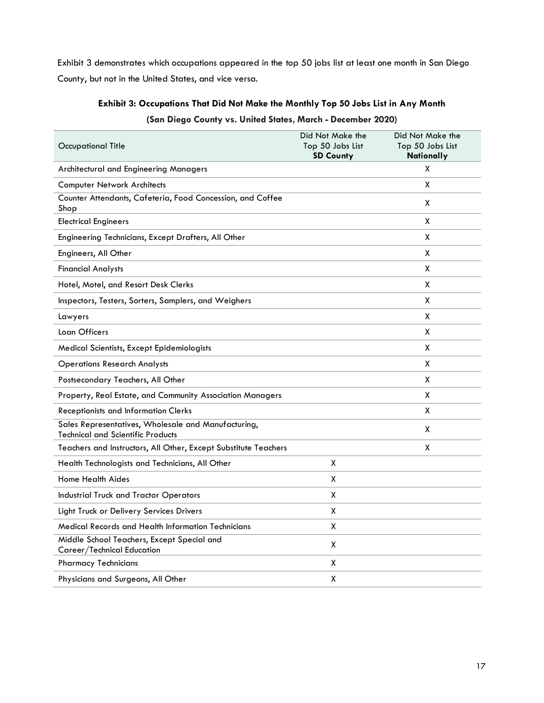Exhibit 3 demonstrates which occupations appeared in the top 50 jobs list at least one month in San Diego County, but not in the United States, and vice versa.

## **Exhibit 3: Occupations That Did Not Make the Monthly Top 50 Jobs List in Any Month (San Diego County vs. United States, March - December 2020)**

| Occupational Title                                                                              | Did Not Make the<br>Top 50 Jobs List<br><b>SD County</b> | Did Not Make the<br>Top 50 Jobs List<br>Nationally |
|-------------------------------------------------------------------------------------------------|----------------------------------------------------------|----------------------------------------------------|
| Architectural and Engineering Managers                                                          |                                                          | X                                                  |
| <b>Computer Network Architects</b>                                                              |                                                          | X                                                  |
| Counter Attendants, Cafeteria, Food Concession, and Coffee<br>Shop                              |                                                          | X                                                  |
| <b>Electrical Engineers</b>                                                                     |                                                          | X                                                  |
| Engineering Technicians, Except Drafters, All Other                                             |                                                          | X                                                  |
| Engineers, All Other                                                                            |                                                          | X                                                  |
| <b>Financial Analysts</b>                                                                       |                                                          | x                                                  |
| Hotel, Motel, and Resort Desk Clerks                                                            |                                                          | X                                                  |
| Inspectors, Testers, Sorters, Samplers, and Weighers                                            |                                                          | X                                                  |
| Lawyers                                                                                         |                                                          | X                                                  |
| Loan Officers                                                                                   |                                                          | x                                                  |
| Medical Scientists, Except Epidemiologists                                                      |                                                          | X                                                  |
| <b>Operations Research Analysts</b>                                                             |                                                          | X                                                  |
| Postsecondary Teachers, All Other                                                               |                                                          | x                                                  |
| Property, Real Estate, and Community Association Managers                                       |                                                          | X                                                  |
| <b>Receptionists and Information Clerks</b>                                                     |                                                          | X                                                  |
| Sales Representatives, Wholesale and Manufacturing,<br><b>Technical and Scientific Products</b> |                                                          | X                                                  |
| Teachers and Instructors, All Other, Except Substitute Teachers                                 |                                                          | X                                                  |
| Health Technologists and Technicians, All Other                                                 | X                                                        |                                                    |
| Home Health Aides                                                                               | x                                                        |                                                    |
| <b>Industrial Truck and Tractor Operators</b>                                                   | X                                                        |                                                    |
| Light Truck or Delivery Services Drivers                                                        | x                                                        |                                                    |
| Medical Records and Health Information Technicians                                              | X                                                        |                                                    |
| Middle School Teachers, Except Special and<br>Career/Technical Education                        | X                                                        |                                                    |
| <b>Pharmacy Technicians</b>                                                                     | x                                                        |                                                    |
| Physicians and Surgeons, All Other                                                              | χ                                                        |                                                    |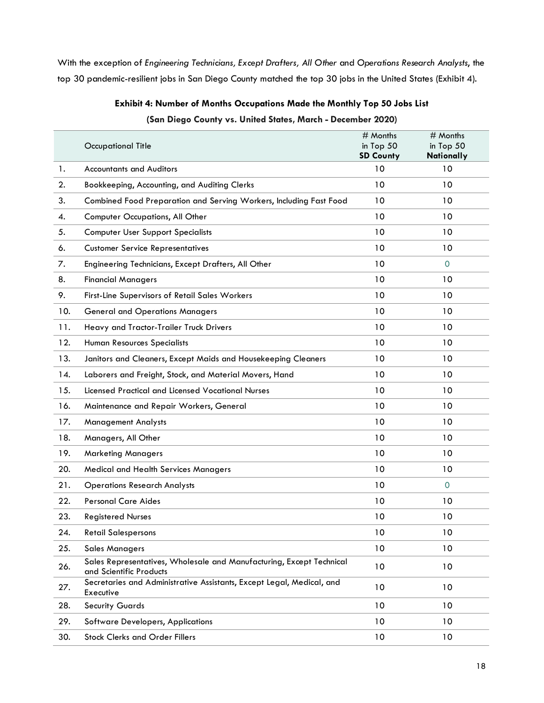With the exception of *Engineering Technicians, Except Drafters, All Other* and *Operations Research Analysts*, the top 30 pandemic-resilient jobs in San Diego County matched the top 30 jobs in the United States (Exhibit 4).

|     | <b>Occupational Title</b>                                                                       | # Months<br>in Top 50<br><b>SD County</b> | # Months<br>in Top 50<br>Nationally |
|-----|-------------------------------------------------------------------------------------------------|-------------------------------------------|-------------------------------------|
| 1.  | <b>Accountants and Auditors</b>                                                                 | 10                                        | 10                                  |
| 2.  | Bookkeeping, Accounting, and Auditing Clerks                                                    | 10                                        | 10                                  |
| 3.  | Combined Food Preparation and Serving Workers, Including Fast Food                              | 10                                        | 10                                  |
| 4.  | Computer Occupations, All Other                                                                 | 10                                        | 10                                  |
| 5.  | <b>Computer User Support Specialists</b>                                                        | 10                                        | 10                                  |
| 6.  | <b>Customer Service Representatives</b>                                                         | 10                                        | 10                                  |
| 7.  | Engineering Technicians, Except Drafters, All Other                                             | 10                                        | $\mathbf{0}$                        |
| 8.  | <b>Financial Managers</b>                                                                       | 10                                        | 10                                  |
| 9.  | First-Line Supervisors of Retail Sales Workers                                                  | 10                                        | 10                                  |
| 10. | <b>General and Operations Managers</b>                                                          | 10                                        | 10                                  |
| 11. | Heavy and Tractor-Trailer Truck Drivers                                                         | 10                                        | 10                                  |
| 12. | <b>Human Resources Specialists</b>                                                              | 10                                        | 10                                  |
| 13. | Janitors and Cleaners, Except Maids and Housekeeping Cleaners                                   | 10                                        | 10                                  |
| 14. | Laborers and Freight, Stock, and Material Movers, Hand                                          | 10                                        | 10                                  |
| 15. | Licensed Practical and Licensed Vocational Nurses                                               | 10                                        | 10                                  |
| 16. | Maintenance and Repair Workers, General                                                         | 10                                        | 10                                  |
| 17. | <b>Management Analysts</b>                                                                      | 10                                        | 10                                  |
| 18. | Managers, All Other                                                                             | 10                                        | 10                                  |
| 19. | <b>Marketing Managers</b>                                                                       | 10                                        | 10                                  |
| 20. | <b>Medical and Health Services Managers</b>                                                     | 10                                        | 10                                  |
| 21. | <b>Operations Research Analysts</b>                                                             | 10                                        | $\mathbf{0}$                        |
| 22. | <b>Personal Care Aides</b>                                                                      | 10                                        | 10                                  |
| 23. | <b>Registered Nurses</b>                                                                        | 10                                        | 10                                  |
| 24. | <b>Retail Salespersons</b>                                                                      | 10                                        | 10                                  |
| 25. | <b>Sales Managers</b>                                                                           | 10                                        | 10                                  |
| 26. | Sales Representatives, Wholesale and Manufacturing, Except Technical<br>and Scientific Products | 10                                        | 10                                  |
| 27. | Secretaries and Administrative Assistants, Except Legal, Medical, and<br>Executive              | 10                                        | 10                                  |
| 28. | <b>Security Guards</b>                                                                          | 10                                        | 10                                  |
| 29. | <b>Software Developers, Applications</b>                                                        | 10                                        | 10                                  |
| 30. | <b>Stock Clerks and Order Fillers</b>                                                           | 10                                        | 10                                  |

## **Exhibit 4: Number of Months Occupations Made the Monthly Top 50 Jobs List (San Diego County vs. United States, March - December 2020)**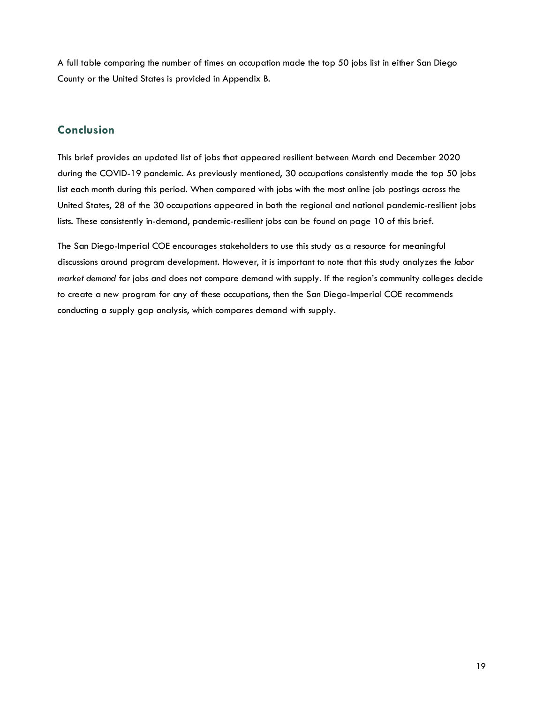A full table comparing the number of times an occupation made the top 50 jobs list in either San Diego County or the United States is provided in Appendix B.

### <span id="page-18-0"></span>**Conclusion**

This brief provides an updated list of jobs that appeared resilient between March and December 2020 during the COVID-19 pandemic. As previously mentioned, 30 occupations consistently made the top 50 jobs list each month during this period. When compared with jobs with the most online job postings across the United States, 28 of the 30 occupations appeared in both the regional and national pandemic-resilient jobs lists. These consistently in-demand, pandemic-resilient jobs can be found on page 10 of this brief.

The San Diego-Imperial COE encourages stakeholders to use this study as a resource for meaningful discussions around program development. However, it is important to note that this study analyzes the *labor market demand* for jobs and does not compare demand with supply. If the region's community colleges decide to create a new program for any of these occupations, then the San Diego-Imperial COE recommends conducting a supply gap analysis, which compares demand with supply.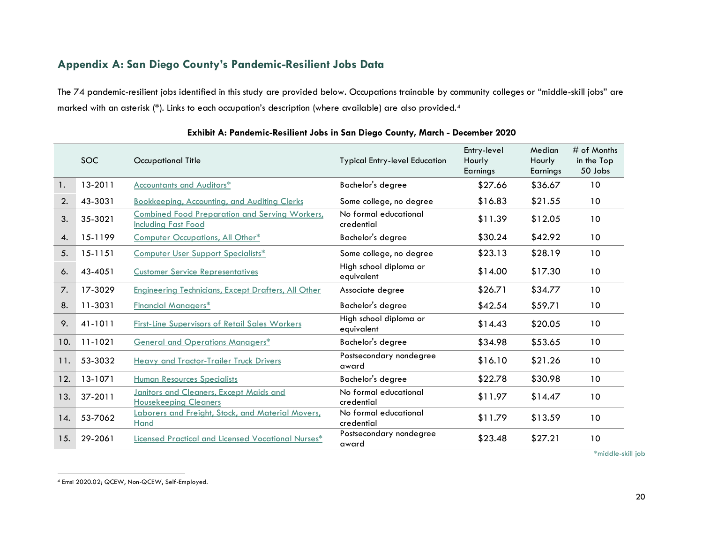## **Appendix A: San Diego County's Pandemic-Resilient Jobs Data**

The 74 pandemic-resilient jobs identified in this study are provided below. Occupations trainable by community colleges or "middle-skill jobs" are marked with an asterisk (\*). Links to each occupation's description (where available) are also provided.[4](#page-19-1)

<span id="page-19-0"></span>

|              | <b>SOC</b>  | Occupational Title                                                                  | <b>Typical Entry-level Education</b> | Entry-level<br>Hourly<br>Earnings | Median<br>Hourly<br>Earnings | $#$ of Months<br>in the Top<br>50 Jobs |
|--------------|-------------|-------------------------------------------------------------------------------------|--------------------------------------|-----------------------------------|------------------------------|----------------------------------------|
| 1.           | $13 - 2011$ | <b>Accountants and Auditors*</b>                                                    | Bachelor's degree                    | \$27.66                           | \$36.67                      | 10                                     |
| 2.           | 43-3031     | Bookkeeping, Accounting, and Auditing Clerks                                        | Some college, no degree              | \$16.83                           | \$21.55                      | 10                                     |
| 3.           | 35-3021     | <b>Combined Food Preparation and Serving Workers,</b><br><b>Including Fast Food</b> | No formal educational<br>credential  | \$11.39                           | \$12.05                      | 10                                     |
| $\mathbf{4}$ | 15-1199     | Computer Occupations, All Other*                                                    | Bachelor's degree                    | \$30.24                           | \$42.92                      | 10                                     |
| 5.           | 15-1151     | Computer User Support Specialists*                                                  | Some college, no degree              | \$23.13                           | \$28.19                      | 10                                     |
| 6.           | 43-4051     | <b>Customer Service Representatives</b>                                             | High school diploma or<br>equivalent | \$14.00                           | \$17.30                      | 10                                     |
| 7.           | 17-3029     | <b>Engineering Technicians, Except Drafters, All Other</b>                          | Associate degree                     | \$26.71                           | \$34.77                      | 10                                     |
| 8.           | 11-3031     | <b>Financial Managers*</b>                                                          | Bachelor's degree                    | \$42.54                           | \$59.71                      | 10                                     |
| 9.           | 41-1011     | First-Line Supervisors of Retail Sales Workers                                      | High school diploma or<br>equivalent | \$14.43                           | \$20.05                      | 10                                     |
| 10.          | 11-1021     | <b>General and Operations Managers*</b>                                             | Bachelor's degree                    | \$34.98                           | \$53.65                      | 10                                     |
| 11.          | 53-3032     | <b>Heavy and Tractor-Trailer Truck Drivers</b>                                      | Postsecondary nondegree<br>award     | \$16.10                           | \$21.26                      | 10                                     |
| 12.          | 13-1071     | <b>Human Resources Specialists</b>                                                  | Bachelor's degree                    | \$22.78                           | \$30.98                      | 10                                     |
| 13.          | 37-2011     | <b>Janitors and Cleaners, Except Maids and</b><br><b>Housekeeping Cleaners</b>      | No formal educational<br>credential  | \$11.97                           | \$14.47                      | 10                                     |
| 14.          | 53-7062     | Laborers and Freight, Stock, and Material Movers,<br>Hand                           | No formal educational<br>credential  | \$11.79                           | \$13.59                      | 10                                     |
| 15.          | 29-2061     | Licensed Practical and Licensed Vocational Nurses*                                  | Postsecondary nondegree<br>award     | \$23.48                           | \$27.21                      | 10                                     |

#### <span id="page-19-1"></span>**Exhibit A: Pandemic-Resilient Jobs in San Diego County, March - December 2020**

**<sup>\*</sup>**middle-skill job

 <sup>4</sup> Emsi 2020.02; QCEW, Non-QCEW, Self-Employed.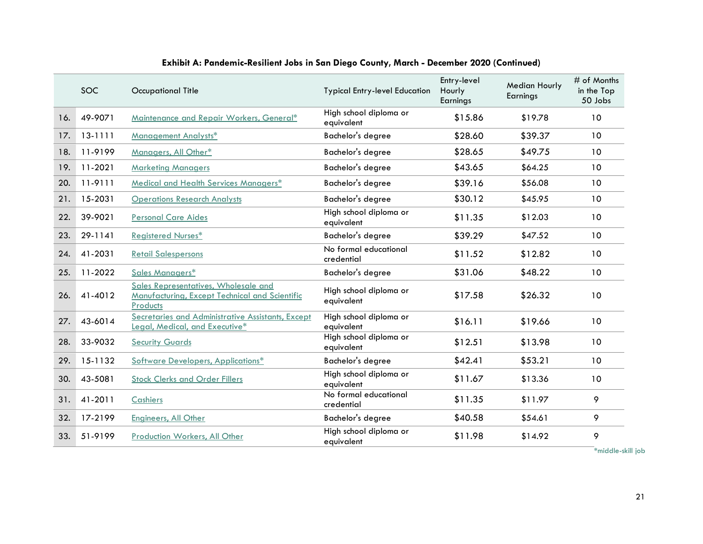|     | <b>SOC</b>  | <b>Occupational Title</b>                                                                          | <b>Typical Entry-level Education</b> | Entry-level<br>Hourly<br>Earnings | <b>Median Hourly</b><br>Earnings | # of Months<br>in the Top<br>50 Jobs |
|-----|-------------|----------------------------------------------------------------------------------------------------|--------------------------------------|-----------------------------------|----------------------------------|--------------------------------------|
| 16. | 49-9071     | Maintenance and Repair Workers, General*                                                           | High school diploma or<br>equivalent | \$15.86                           | \$19.78                          | 10                                   |
| 17. | $13 - 1111$ | Management Analysts*                                                                               | <b>Bachelor's degree</b>             | \$28.60                           | \$39.37                          | 10                                   |
| 18. | 11-9199     | Managers, All Other*                                                                               | Bachelor's degree                    | \$28.65                           | \$49.75                          | 10                                   |
| 19. | 11-2021     | <b>Marketing Managers</b>                                                                          | Bachelor's degree                    | \$43.65                           | \$64.25                          | 10                                   |
| 20. | 11-9111     | Medical and Health Services Managers*                                                              | Bachelor's degree                    | \$39.16                           | \$56.08                          | 10                                   |
| 21. | 15-2031     | <b>Operations Research Analysts</b>                                                                | Bachelor's degree                    | \$30.12                           | \$45.95                          | 10                                   |
| 22. | 39-9021     | <b>Personal Care Aides</b>                                                                         | High school diploma or<br>equivalent | \$11.35                           | \$12.03                          | 10                                   |
| 23. | 29-1141     | <b>Registered Nurses*</b>                                                                          | Bachelor's degree                    | \$39.29                           | \$47.52                          | 10                                   |
| 24. | 41-2031     | <b>Retail Salespersons</b>                                                                         | No formal educational<br>credential  | \$11.52                           | \$12.82                          | 10                                   |
| 25. | 11-2022     | Sales Managers*                                                                                    | Bachelor's degree                    | \$31.06                           | \$48.22                          | 10 <sup>°</sup>                      |
| 26. | 41-4012     | Sales Representatives, Wholesale and<br>Manufacturing, Except Technical and Scientific<br>Products | High school diploma or<br>equivalent | \$17.58                           | \$26.32                          | 10                                   |
| 27. | 43-6014     | Secretaries and Administrative Assistants, Except<br>Legal, Medical, and Executive*                | High school diploma or<br>equivalent | \$16.11                           | \$19.66                          | 10                                   |
| 28. | 33-9032     | <b>Security Guards</b>                                                                             | High school diploma or<br>equivalent | \$12.51                           | \$13.98                          | 10                                   |
| 29. | 15-1132     | Software Developers, Applications*                                                                 | Bachelor's degree                    | \$42.41                           | \$53.21                          | 10                                   |
| 30. | 43-5081     | <b>Stock Clerks and Order Fillers</b>                                                              | High school diploma or<br>equivalent | \$11.67                           | \$13.36                          | 10                                   |
| 31. | 41-2011     | Cashiers                                                                                           | No formal educational<br>credential  | \$11.35                           | \$11.97                          | 9                                    |
| 32. | 17-2199     | <b>Engineers, All Other</b>                                                                        | Bachelor's degree                    | \$40.58                           | \$54.61                          | 9                                    |
| 33. | 51-9199     | Production Workers, All Other                                                                      | High school diploma or<br>equivalent | \$11.98                           | \$14.92                          | 9                                    |

**\***middle-skill job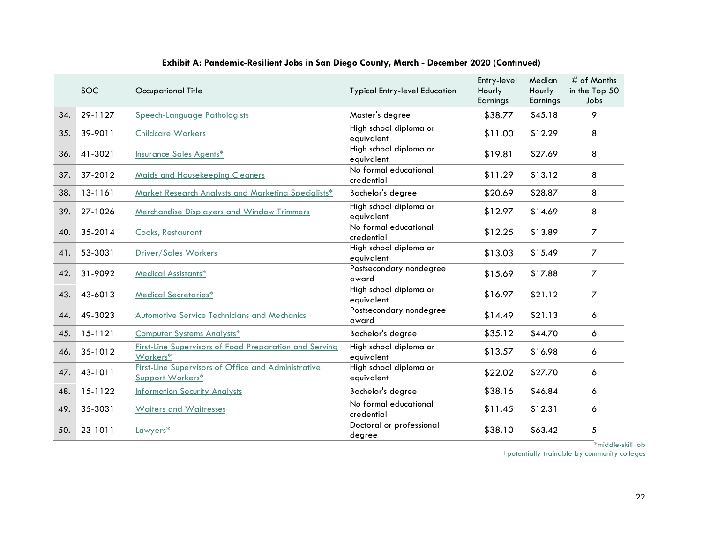|     | <b>SOC</b> | <b>Occupational Title</b>                                                      | <b>Typical Entry-level Education</b> | Entry-level<br>Hourly<br>Earnings | Median<br>Hourly<br>Earnings | # of Months<br>in the Top 50<br>Jobs |
|-----|------------|--------------------------------------------------------------------------------|--------------------------------------|-----------------------------------|------------------------------|--------------------------------------|
| 34. | 29-1127    | Speech-Language Pathologists                                                   | Master's degree                      | \$38.77                           | \$45.18                      | 9                                    |
| 35. | 39-9011    | <b>Childcare Workers</b>                                                       | High school diploma or<br>equivalent | \$11.00                           | \$12.29                      | 8                                    |
| 36. | 41-3021    | <b>Insurance Sales Agents*</b>                                                 | High school diploma or<br>equivalent | \$19.81                           | \$27.69                      | 8                                    |
| 37. | 37-2012    | <b>Maids and Housekeeping Cleaners</b>                                         | No formal educational<br>credential  | \$11.29                           | \$13.12                      | 8                                    |
| 38. | 13-1161    | Market Research Analysts and Marketing Specialists*                            | Bachelor's degree                    | \$20.69                           | \$28.87                      | 8                                    |
| 39. | 27-1026    | <b>Merchandise Displayers and Window Trimmers</b>                              | High school diploma or<br>equivalent | \$12.97                           | \$14.69                      | 8                                    |
| 40. | 35-2014    | Cooks, Restaurant                                                              | No formal educational<br>credential  | \$12.25                           | \$13.89                      | 7                                    |
| 41. | 53-3031    | Driver/Sales Workers                                                           | High school diploma or<br>equivalent | \$13.03                           | \$15.49                      | $\overline{7}$                       |
| 42. | 31-9092    | <b>Medical Assistants*</b>                                                     | Postsecondary nondegree<br>award     | \$15.69                           | \$17.88                      | $\overline{7}$                       |
| 43. | 43-6013    | Medical Secretaries*                                                           | High school diploma or<br>equivalent | \$16.97                           | \$21.12                      | $\overline{7}$                       |
| 44. | 49-3023    | <b>Automotive Service Technicians and Mechanics</b>                            | Postsecondary nondegree<br>award     | \$14.49                           | \$21.13                      | 6                                    |
| 45. | 15-1121    | <b>Computer Systems Analysts*</b>                                              | Bachelor's degree                    | \$35.12                           | \$44.70                      | 6                                    |
| 46. | 35-1012    | <b>First-Line Supervisors of Food Preparation and Serving</b><br>Workers*      | High school diploma or<br>equivalent | \$13.57                           | \$16.98                      | 6                                    |
| 47. | 43-1011    | <b>First-Line Supervisors of Office and Administrative</b><br>Support Workers* | High school diploma or<br>equivalent | \$22.02                           | \$27.70                      | 6                                    |
| 48. | 15-1122    | <b>Information Security Analysts</b>                                           | Bachelor's degree                    | \$38.16                           | \$46.84                      | 6                                    |
| 49. | 35-3031    | <b>Waiters and Waitresses</b>                                                  | No formal educational<br>credential  | \$11.45                           | \$12.31                      | 6                                    |
| 50. | 23-1011    | Lawyers*                                                                       | Doctoral or professional<br>degree   | \$38.10                           | \$63.42                      | 5                                    |

**\***middle-skill job

+potentially trainable by community colleges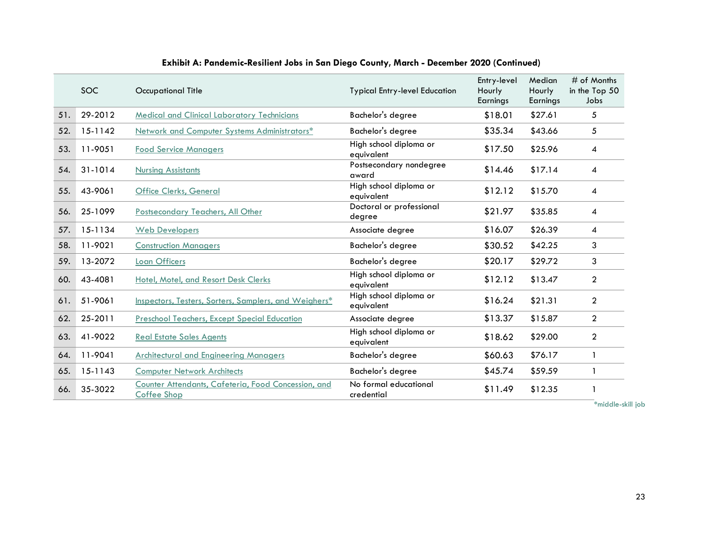|     | SOC.    | <b>Occupational Title</b>                                                 | <b>Typical Entry-level Education</b> | Entry-level<br>Hourly<br>Earnings | Median<br>Hourly<br>Earnings | $#$ of Months<br>in the Top 50<br>Jobs |
|-----|---------|---------------------------------------------------------------------------|--------------------------------------|-----------------------------------|------------------------------|----------------------------------------|
| 51. | 29-2012 | <b>Medical and Clinical Laboratory Technicians</b>                        | Bachelor's degree                    | \$18.01                           | \$27.61                      | 5                                      |
| 52. | 15-1142 | Network and Computer Systems Administrators*                              | Bachelor's degree                    | \$35.34                           | \$43.66                      | 5                                      |
| 53. | 11-9051 | <b>Food Service Managers</b>                                              | High school diploma or<br>equivalent | \$17.50                           | \$25.96                      | 4                                      |
| 54. | 31-1014 | <b>Nursing Assistants</b>                                                 | Postsecondary nondegree<br>award     | \$14.46                           | \$17.14                      | 4                                      |
| 55. | 43-9061 | <b>Office Clerks, General</b>                                             | High school diploma or<br>equivalent | \$12.12                           | \$15.70                      | 4                                      |
| 56. | 25-1099 | Postsecondary Teachers, All Other                                         | Doctoral or professional<br>degree   | \$21.97                           | \$35.85                      | 4                                      |
| 57. | 15-1134 | <b>Web Developers</b>                                                     | Associate degree                     | \$16.07                           | \$26.39                      | 4                                      |
| 58. | 11-9021 | <b>Construction Managers</b>                                              | Bachelor's degree                    | \$30.52                           | \$42.25                      | 3                                      |
| 59. | 13-2072 | <b>Loan Officers</b>                                                      | Bachelor's degree                    | \$20.17                           | \$29.72                      | 3                                      |
| 60. | 43-4081 | Hotel, Motel, and Resort Desk Clerks                                      | High school diploma or<br>equivalent | \$12.12                           | \$13.47                      | $\overline{2}$                         |
| 61. | 51-9061 | <b>Inspectors, Testers, Sorters, Samplers, and Weighers*</b>              | High school diploma or<br>equivalent | \$16.24                           | \$21.31                      | $\overline{2}$                         |
| 62. | 25-2011 | <b>Preschool Teachers, Except Special Education</b>                       | Associate degree                     | \$13.37                           | \$15.87                      | 2                                      |
| 63. | 41-9022 | <b>Real Estate Sales Agents</b>                                           | High school diploma or<br>equivalent | \$18.62                           | \$29.00                      | $\overline{2}$                         |
| 64. | 11-9041 | <b>Architectural and Engineering Managers</b>                             | Bachelor's degree                    | \$60.63                           | \$76.17                      | 1                                      |
| 65. | 15-1143 | <b>Computer Network Architects</b>                                        | Bachelor's degree                    | \$45.74                           | \$59.59                      | 1                                      |
| 66. | 35-3022 | Counter Attendants, Cafeteria, Food Concession, and<br><b>Coffee Shop</b> | No formal educational<br>credential  | \$11.49                           | \$12.35                      |                                        |

**\***middle-skill job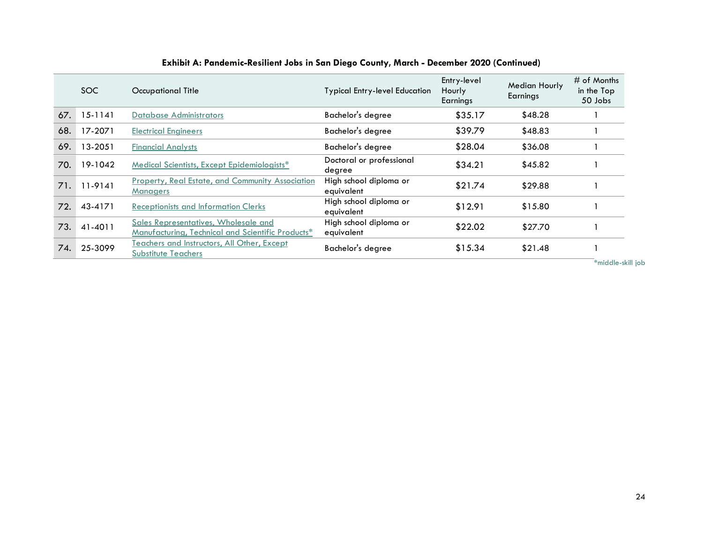|     | SOC.        | Occupational Title                                                                        | <b>Typical Entry-level Education</b> | Entry-level<br><b>Hourly</b><br>Earnings | <b>Median Hourly</b><br>Earnings | $#$ of Months<br>in the Top<br>50 Jobs |
|-----|-------------|-------------------------------------------------------------------------------------------|--------------------------------------|------------------------------------------|----------------------------------|----------------------------------------|
| 67. | $15 - 1141$ | <b>Database Administrators</b>                                                            | Bachelor's degree                    | \$35.17                                  | \$48.28                          |                                        |
| 68. | 17-2071     | <b>Electrical Engineers</b>                                                               | Bachelor's degree                    | \$39.79                                  | \$48.83                          |                                        |
| 69. | 13-2051     | <b>Financial Analysts</b>                                                                 | Bachelor's degree                    | \$28.04                                  | \$36.08                          |                                        |
| 70. | 19-1042     | Medical Scientists, Except Epidemiologists*                                               | Doctoral or professional<br>degree   | \$34.21                                  | \$45.82                          |                                        |
| 71. | 11-9141     | <b>Property, Real Estate, and Community Association</b><br><b>Managers</b>                | High school diploma or<br>equivalent | \$21.74                                  | \$29.88                          |                                        |
| 72. | 43-4171     | <b>Receptionists and Information Clerks</b>                                               | High school diploma or<br>equivalent | \$12.91                                  | \$15.80                          |                                        |
| 73. | 41-4011     | Sales Representatives, Wholesale and<br>Manufacturing, Technical and Scientific Products* | High school diploma or<br>equivalent | \$22.02                                  | \$27.70                          |                                        |
| 74. | 25-3099     | Teachers and Instructors, All Other, Except<br><b>Substitute Teachers</b>                 | Bachelor's degree                    | \$15.34                                  | \$21.48                          | $-1$ $-1$ $-1$ $-1$ $-1$               |

**\***middle-skill job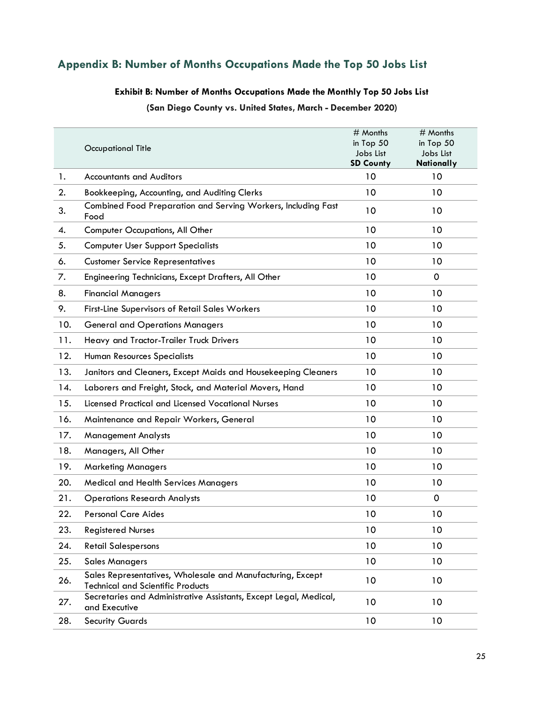## <span id="page-24-0"></span>**Appendix B: Number of Months Occupations Made the Top 50 Jobs List**

#### **Exhibit B: Number of Months Occupations Made the Monthly Top 50 Jobs List**

**(San Diego County vs. United States, March - December 2020)**

|     | <b>Occupational Title</b>                                                                              | # Months<br>in Top 50<br>Jobs List<br><b>SD County</b> | # Months<br>in Top $50$<br>Jobs List<br><b>Nationally</b> |
|-----|--------------------------------------------------------------------------------------------------------|--------------------------------------------------------|-----------------------------------------------------------|
| 1.  | <b>Accountants and Auditors</b>                                                                        | 10                                                     | 10                                                        |
| 2.  | Bookkeeping, Accounting, and Auditing Clerks                                                           | 10                                                     | 10                                                        |
| 3.  | Combined Food Preparation and Serving Workers, Including Fast<br>Food                                  | 10                                                     | 10                                                        |
| 4.  | Computer Occupations, All Other                                                                        | 10                                                     | 10                                                        |
| 5.  | <b>Computer User Support Specialists</b>                                                               | 10                                                     | 10                                                        |
| 6.  | <b>Customer Service Representatives</b>                                                                | 10                                                     | 10                                                        |
| 7.  | Engineering Technicians, Except Drafters, All Other                                                    | 10                                                     | 0                                                         |
| 8.  | <b>Financial Managers</b>                                                                              | 10                                                     | 10                                                        |
| 9.  | First-Line Supervisors of Retail Sales Workers                                                         | 10                                                     | 10                                                        |
| 10. | <b>General and Operations Managers</b>                                                                 | 10                                                     | 10                                                        |
| 11. | Heavy and Tractor-Trailer Truck Drivers                                                                | 10                                                     | 10                                                        |
| 12. | Human Resources Specialists                                                                            | 10                                                     | 10                                                        |
| 13. | Janitors and Cleaners, Except Maids and Housekeeping Cleaners                                          | 10                                                     | 10                                                        |
| 14. | Laborers and Freight, Stock, and Material Movers, Hand                                                 | 10                                                     | 10                                                        |
| 15. | <b>Licensed Practical and Licensed Vocational Nurses</b>                                               | 10                                                     | 10                                                        |
| 16. | Maintenance and Repair Workers, General                                                                | 10                                                     | 10                                                        |
| 17. | <b>Management Analysts</b>                                                                             | 10                                                     | 10                                                        |
| 18. | Managers, All Other                                                                                    | 10                                                     | 10                                                        |
| 19. | <b>Marketing Managers</b>                                                                              | 10                                                     | 10                                                        |
| 20. | <b>Medical and Health Services Managers</b>                                                            | 10                                                     | 10                                                        |
| 21. | <b>Operations Research Analysts</b>                                                                    | 10                                                     | $\mathbf 0$                                               |
| 22. | <b>Personal Care Aides</b>                                                                             | 10                                                     | 10                                                        |
| 23. | <b>Registered Nurses</b>                                                                               | 10                                                     | 10                                                        |
| 24. | <b>Retail Salespersons</b>                                                                             | 10                                                     | 10                                                        |
| 25. | <b>Sales Managers</b>                                                                                  | 10                                                     | 10                                                        |
| 26. | Sales Representatives, Wholesale and Manufacturing, Except<br><b>Technical and Scientific Products</b> | 10                                                     | 10                                                        |
| 27. | Secretaries and Administrative Assistants, Except Legal, Medical,<br>and Executive                     | 10                                                     | 10                                                        |
| 28. | <b>Security Guards</b>                                                                                 | 10                                                     | 10                                                        |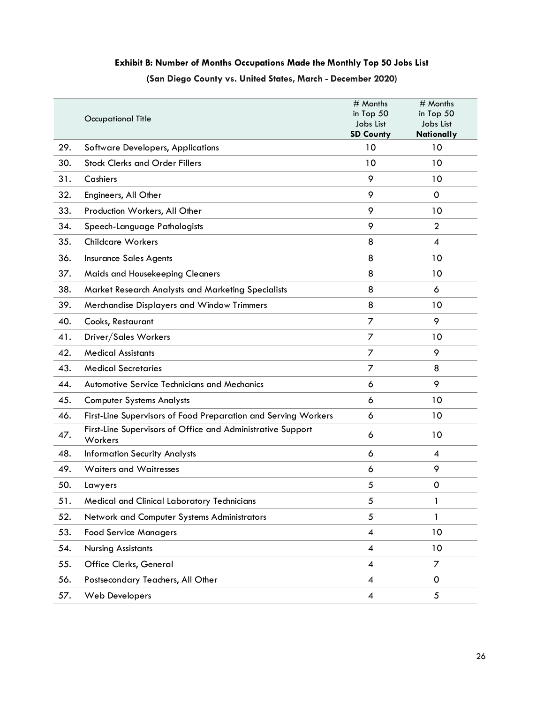## **Exhibit B: Number of Months Occupations Made the Monthly Top 50 Jobs List (San Diego County vs. United States, March - December 2020)**

|     | <b>Occupational Title</b>                                              | # Months<br>in Top 50<br>Jobs List<br><b>SD County</b> | # Months<br>in Top 50<br>Jobs List<br>Nationally |
|-----|------------------------------------------------------------------------|--------------------------------------------------------|--------------------------------------------------|
| 29. | <b>Software Developers, Applications</b>                               | 10                                                     | 10                                               |
| 30. | <b>Stock Clerks and Order Fillers</b>                                  | 10                                                     | 10                                               |
| 31. | Cashiers                                                               | 9                                                      | 10                                               |
| 32. | Engineers, All Other                                                   | 9                                                      | 0                                                |
| 33. | Production Workers, All Other                                          | 9                                                      | 10                                               |
| 34. | Speech-Language Pathologists                                           | 9                                                      | $\overline{2}$                                   |
| 35. | <b>Childcare Workers</b>                                               | 8                                                      | $\boldsymbol{4}$                                 |
| 36. | <b>Insurance Sales Agents</b>                                          | 8                                                      | 10                                               |
| 37. | Maids and Housekeeping Cleaners                                        | 8                                                      | 10                                               |
| 38. | Market Research Analysts and Marketing Specialists                     | 8                                                      | 6                                                |
| 39. | Merchandise Displayers and Window Trimmers                             | 8                                                      | 10                                               |
| 40. | Cooks, Restaurant                                                      | 7                                                      | 9                                                |
| 41. | Driver/Sales Workers                                                   | 7                                                      | 10                                               |
| 42. | <b>Medical Assistants</b>                                              | 7                                                      | 9                                                |
| 43. | <b>Medical Secretaries</b>                                             | 7                                                      | 8                                                |
| 44. | Automotive Service Technicians and Mechanics                           | 6                                                      | 9                                                |
| 45. | <b>Computer Systems Analysts</b>                                       | 6                                                      | 10                                               |
| 46. | First-Line Supervisors of Food Preparation and Serving Workers         | 6                                                      | 10                                               |
| 47. | First-Line Supervisors of Office and Administrative Support<br>Workers | 6                                                      | 10                                               |
| 48. | <b>Information Security Analysts</b>                                   | 6                                                      | $\overline{4}$                                   |
| 49. | <b>Waiters and Waitresses</b>                                          | 6                                                      | 9                                                |
| 50. | Lawyers                                                                | 5                                                      | $\mathbf 0$                                      |
| 51. | Medical and Clinical Laboratory Technicians                            | 5                                                      | 1                                                |
| 52. | Network and Computer Systems Administrators                            | 5                                                      | 1                                                |
| 53. | <b>Food Service Managers</b>                                           | $\overline{\mathcal{A}}$                               | 10                                               |
| 54. | <b>Nursing Assistants</b>                                              | $\boldsymbol{4}$                                       | 10                                               |
| 55. | Office Clerks, General                                                 | $\overline{\mathcal{A}}$                               | 7                                                |
| 56. | Postsecondary Teachers, All Other                                      | $\boldsymbol{4}$                                       | $\Omega$                                         |
| 57. | <b>Web Developers</b>                                                  | 4                                                      | 5                                                |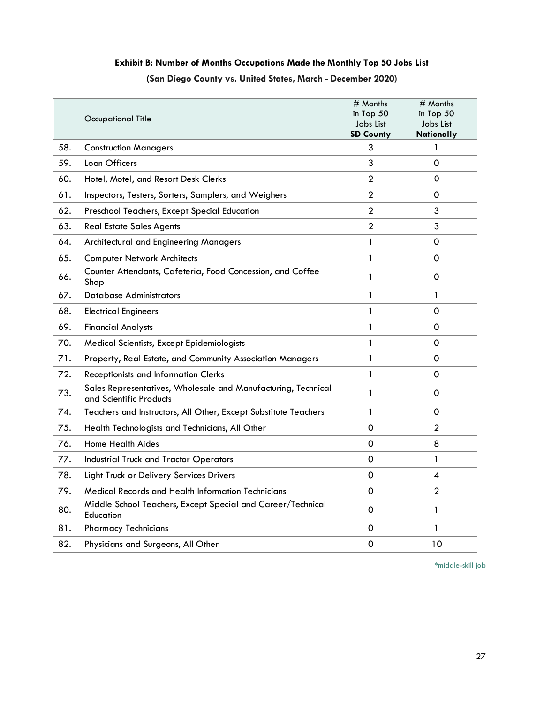## **Exhibit B: Number of Months Occupations Made the Monthly Top 50 Jobs List (San Diego County vs. United States, March - December 2020)**

|     | Occupational Title                                                                       | # Months<br>in Top 50<br>Jobs List<br><b>SD County</b> | # Months<br>in Top 50<br>Jobs List<br>Nationally |
|-----|------------------------------------------------------------------------------------------|--------------------------------------------------------|--------------------------------------------------|
| 58. | <b>Construction Managers</b>                                                             | 3                                                      | 1                                                |
| 59. | Loan Officers                                                                            | 3                                                      | 0                                                |
| 60. | Hotel, Motel, and Resort Desk Clerks                                                     | $\mathbf{2}$                                           | 0                                                |
| 61. | Inspectors, Testers, Sorters, Samplers, and Weighers                                     | $\mathbf{2}$                                           | 0                                                |
| 62. | Preschool Teachers, Except Special Education                                             | $\overline{2}$                                         | 3                                                |
| 63. | <b>Real Estate Sales Agents</b>                                                          | $\overline{2}$                                         | 3                                                |
| 64. | Architectural and Engineering Managers                                                   | $\mathbf{1}$                                           | 0                                                |
| 65. | <b>Computer Network Architects</b>                                                       | 1                                                      | 0                                                |
| 66. | Counter Attendants, Cafeteria, Food Concession, and Coffee<br>Shop                       | 1                                                      | 0                                                |
| 67. | <b>Database Administrators</b>                                                           | 1                                                      | 1                                                |
| 68. | <b>Electrical Engineers</b>                                                              | 1                                                      | 0                                                |
| 69. | <b>Financial Analysts</b>                                                                | 1                                                      | 0                                                |
| 70. | Medical Scientists, Except Epidemiologists                                               | 1                                                      | 0                                                |
| 71. | Property, Real Estate, and Community Association Managers                                | 1                                                      | $\Omega$                                         |
| 72. | <b>Receptionists and Information Clerks</b>                                              | 1                                                      | 0                                                |
| 73. | Sales Representatives, Wholesale and Manufacturing, Technical<br>and Scientific Products | 1                                                      | 0                                                |
| 74. | Teachers and Instructors, All Other, Except Substitute Teachers                          | 1                                                      | 0                                                |
| 75. | Health Technologists and Technicians, All Other                                          | 0                                                      | $\mathbf{2}$                                     |
| 76. | Home Health Aides                                                                        | 0                                                      | 8                                                |
| 77. | <b>Industrial Truck and Tractor Operators</b>                                            | $\mathbf 0$                                            | 1                                                |
| 78. | Light Truck or Delivery Services Drivers                                                 | $\mathbf 0$                                            | 4                                                |
| 79. | Medical Records and Health Information Technicians                                       | 0                                                      | $\overline{2}$                                   |
| 80. | Middle School Teachers, Except Special and Career/Technical<br>Education                 | 0                                                      | 1                                                |
| 81. | <b>Pharmacy Technicians</b>                                                              | $\mathbf 0$                                            | 1                                                |
| 82. | Physicians and Surgeons, All Other                                                       | $\mathbf 0$                                            | 10                                               |

**\***middle-skill job